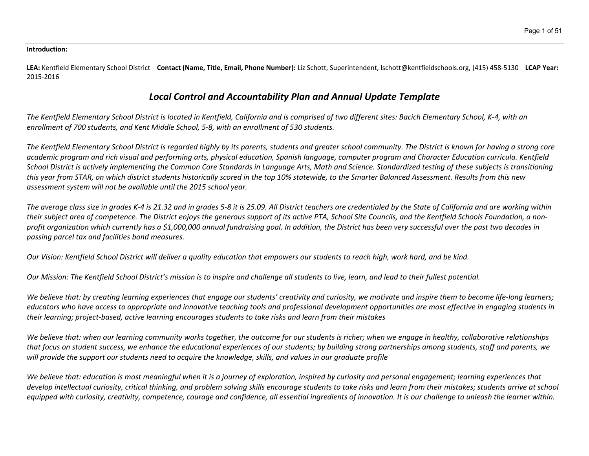#### **Introduction:**

LEA: Kentfield Elementary School District Contact (Name, Title, Email, Phone Number): Liz Schott, Superintendent, Ischott@kentfieldschools.org, (415) 458-5130 LCAP Year: 2015-2016

# *Local Control and Accountability Plan and Annual Update Template*

The Kentfield Elementary School District is located in Kentfield, California and is comprised of two different sites: Bacich Elementary School, K-4, with an *enrollment of 700 students, and Kent Middle School, 5-8, with an enrollment of 530 students.*

The Kentfield Elementary School District is regarded highly by its parents, students and greater school community. The District is known for having a strong core academic program and rich visual and performing arts, physical education, Spanish language, computer program and Character Education curricula. Kentfield School District is actively implementing the Common Core Standards in Language Arts, Math and Science. Standardized testing of these subjects is transitioning this year from STAR, on which district students historically scored in the top 10% statewide, to the Smarter Balanced Assessment. Results from this new *assessment system will not be available until the 2015 school year.*

The average class size in grades K-4 is 21.32 and in grades 5-8 it is 25.09. All District teachers are credentialed by the State of California and are working within their subject area of competence. The District enjoys the generous support of its active PTA, School Site Councils, and the Kentfield Schools Foundation, a nonprofit organization which currently has a \$1,000,000 annual fundraising goal. In addition, the District has been very successful over the past two decades in *passing parcel tax and facilities bond measures.*

Our Vision: Kentfield School District will deliver a quality education that empowers our students to reach high, work hard, and be kind.

Our Mission: The Kentfield School District's mission is to inspire and challenge all students to live, learn, and lead to their fullest potential.

We believe that: by creating learning experiences that engage our students' creativity and curiosity, we motivate and inspire them to become life-long learners; educators who have access to appropriate and innovative teaching tools and professional development opportunities are most effective in engaging students in *their learning; project-based, active learning encourages students to take risks and learn from their mistakes*

We believe that: when our learning community works together, the outcome for our students is richer; when we engage in healthy, collaborative relationships that focus on student success, we enhance the educational experiences of our students; by building strong partnerships among students, staff and parents, we will provide the support our students need to acquire the knowledge, skills, and values in our graduate profile

We believe that: education is most meaningful when it is a journey of exploration, inspired by curiosity and personal engagement; learning experiences that develop intellectual curiosity, critical thinking, and problem solving skills encourage students to take risks and learn from their mistakes; students arrive at school equipped with curiosity, creativity, competence, courage and confidence, all essential ingredients of innovation. It is our challenge to unleash the learner within.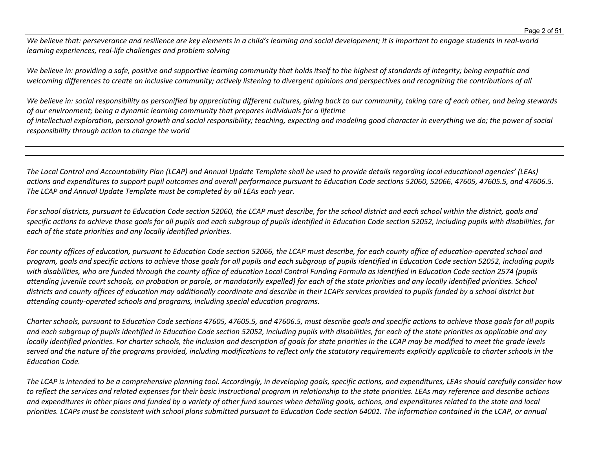We believe that: perseverance and resilience are key elements in a child's learning and social development; it is important to engage students in real-world *learning experiences, real-life challenges and problem solving*

We believe in: providing a safe, positive and supportive learning community that holds itself to the highest of standards of integrity; being empathic and welcoming differences to create an inclusive community; actively listening to divergent opinions and perspectives and recognizing the contributions of all

We believe in: social responsibility as personified by appreciating different cultures, giving back to our community, taking care of each other, and being stewards *of our environment; being a dynamic learning community that prepares individuals for a lifetime*

of intellectual exploration, personal growth and social responsibility; teaching, expecting and modeling good character in everything we do; the power of social *responsibility through action to change the world*

The Local Control and Accountability Plan (LCAP) and Annual Update Template shall be used to provide details regarding local educational agencies' (LEAs) actions and expenditures to support pupil outcomes and overall performance pursuant to Education Code sections 52060, 52066, 47605, 47605.5, and 47606.5. *The LCAP and Annual Update Template must be completed by all LEAs each year.*

For school districts, pursuant to Education Code section 52060, the LCAP must describe, for the school district and each school within the district, goals and specific actions to achieve those goals for all pupils and each subgroup of pupils identified in Education Code section 52052, including pupils with disabilities, for *each of the state priorities and any locally identified priorities.*

For county offices of education, pursuant to Education Code section 52066, the LCAP must describe, for each county office of education-operated school and program, goals and specific actions to achieve those goals for all pupils and each subgroup of pupils identified in Education Code section 52052, including pupils with disabilities, who are funded through the county office of education Local Control Funding Formula as identified in Education Code section 2574 (pupils attending juvenile court schools, on probation or parole, or mandatorily expelled) for each of the state priorities and any locally identified priorities. School districts and county offices of education may additionally coordinate and describe in their LCAPs services provided to pupils funded by a school district but *attending county-operated schools and programs, including special education programs.*

Charter schools, pursuant to Education Code sections 47605, 47605.5, and 47606.5, must describe goals and specific actions to achieve those goals for all pupils and each subgroup of pupils identified in Education Code section 52052, including pupils with disabilities, for each of the state priorities as applicable and any locally identified priorities. For charter schools, the inclusion and description of goals for state priorities in the LCAP may be modified to meet the grade levels served and the nature of the programs provided, including modifications to reflect only the statutory requirements explicitly applicable to charter schools in the *Education Code.*

The LCAP is intended to be a comprehensive planning tool. Accordingly, in developing goals, specific actions, and expenditures, LEAs should carefully consider how to reflect the services and related expenses for their basic instructional program in relationship to the state priorities. LEAs may reference and describe actions and expenditures in other plans and funded by a variety of other fund sources when detailing goals, actions, and expenditures related to the state and local priorities. LCAPs must be consistent with school plans submitted pursuant to Education Code section 64001. The information contained in the LCAP, or annual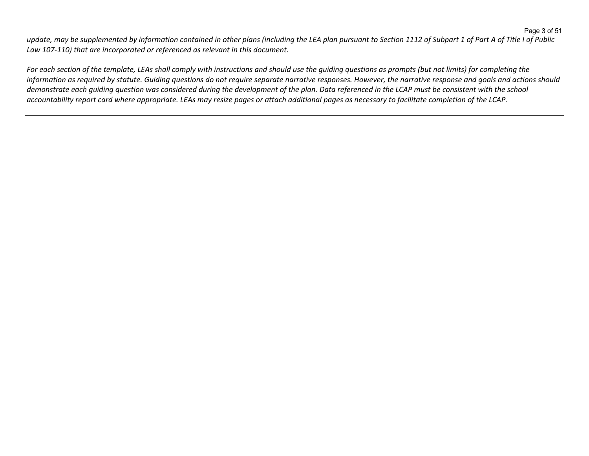#### Page 3 of 51

update, may be supplemented by information contained in other plans (including the LEA plan pursuant to Section 1112 of Subpart 1 of Part A of Title I of Public *Law 107-110) that are incorporated or referenced as relevant in this document.* 

For each section of the template, LEAs shall comply with instructions and should use the quiding questions as prompts (but not limits) for completing the  $|$ information as required by statute. Guiding questions do not require separate narrative responses. However, the narrative response and goals and actions should demonstrate each quiding question was considered during the development of the plan. Data referenced in the LCAP must be consistent with the school accountability report card where appropriate. LEAs may resize pages or attach additional pages as necessary to facilitate completion of the LCAP.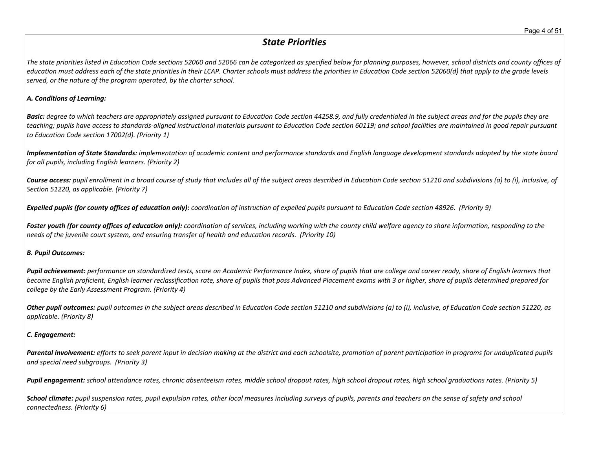## *State Priorities*

The state priorities listed in Education Code sections 52060 and 52066 can be categorized as specified below for planning purposes, however, school districts and county offices of education must address each of the state priorities in their LCAP. Charter schools must address the priorities in Education Code section 52060(d) that apply to the grade levels *served, or the nature of the program operated, by the charter school.*

#### *A. Conditions of Learning:*

**Basic:** degree to which teachers are appropriately assigned pursuant to Education Code section 44258.9, and fully credentialed in the subject areas and for the pupils they are teaching; pupils have access to standards-aligned instructional materials pursuant to Education Code section 60119; and school facilities are maintained in good repair pursuant *to Education Code section 17002(d). (Priority 1)*

Implementation of State Standards: implementation of academic content and performance standards and English language development standards adopted by the state board *for all pupils, including English learners. (Priority 2)*

Course access: pupil enrollment in a broad course of study that includes all of the subject areas described in Education Code section 51210 and subdivisions (a) to (i), inclusive, of *Section 51220, as applicable. (Priority 7)*

Expelled pupils (for county offices of education only): coordination of instruction of expelled pupils pursuant to Education Code section 48926. (Priority 9)

Foster youth (for county offices of education only): coordination of services, including working with the county child welfare agency to share information, responding to the *needs of the juvenile court system, and ensuring transfer of health and education records. (Priority 10)*

#### *B. Pupil Outcomes:*

Pupil achievement: performance on standardized tests, score on Academic Performance Index, share of pupils that are college and career ready, share of English learners that become English proficient, English learner reclassification rate, share of pupils that pass Advanced Placement exams with 3 or higher, share of pupils determined prepared for *college by the Early Assessment Program. (Priority 4)*

Other pupil outcomes: pupil outcomes in the subject areas described in Education Code section 51210 and subdivisions (a) to (i), inclusive, of Education Code section 51220, as *applicable. (Priority 8)* 

## *C. Engagement:*

Parental involvement: efforts to seek parent input in decision making at the district and each schoolsite, promotion of parent participation in programs for unduplicated pupils *and special need subgroups. (Priority 3)*

Pupil engagement: school attendance rates, chronic absenteeism rates, middle school dropout rates, high school dropout rates, high school graduations rates. (Priority 5)

School climate: pupil suspension rates, pupil expulsion rates, other local measures including surveys of pupils, parents and teachers on the sense of safety and school *connectedness. (Priority 6)*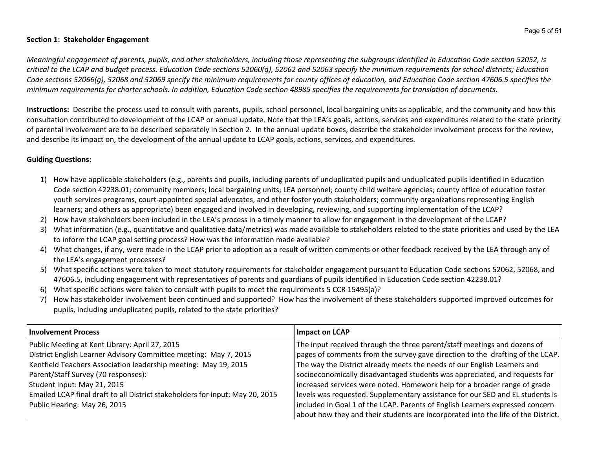## **Section 1: Stakeholder Engagement**

Meaningful engagement of parents, pupils, and other stakeholders, including those representing the subgroups identified in Education Code section 52052, is critical to the LCAP and budget process. Education Code sections 52060(g), 52062 and 52063 specify the minimum requirements for school districts; Education Code sections 52066(g), 52068 and 52069 specify the minimum requirements for county offices of education, and Education Code section 47606.5 specifies the minimum requirements for charter schools. In addition, Education Code section 48985 specifies the requirements for translation of documents.

**Instructions:** Describe the process used to consult with parents, pupils, school personnel, local bargaining units as applicable, and the community and how this consultation contributed to development of the LCAP or annual update. Note that the LEA's goals, actions, services and expenditures related to the state priority of parental involvement are to be described separately in Section 2. In the annual update boxes, describe the stakeholder involvement process for the review, and describe its impact on, the development of the annual update to LCAP goals, actions, services, and expenditures.

## **Guiding Questions:**

- 1) How have applicable stakeholders (e.g., parents and pupils, including parents of unduplicated pupils and unduplicated pupils identified in Education Code section 42238.01; community members; local bargaining units; LEA personnel; county child welfare agencies; county office of education foster youth services programs, court-appointed special advocates, and other foster youth stakeholders; community organizations representing English learners; and others as appropriate) been engaged and involved in developing, reviewing, and supporting implementation of the LCAP?
- 2) How have stakeholders been included in the LEA's process in a timely manner to allow for engagement in the development of the LCAP?
- 3) What information (e.g., quantitative and qualitative data/metrics) was made available to stakeholders related to the state priorities and used by the LEA to inform the LCAP goal setting process? How was the information made available?
- 4) What changes, if any, were made in the LCAP prior to adoption as a result of written comments or other feedback received by the LEA through any of the LEA's engagement processes?
- 5) What specific actions were taken to meet statutory requirements for stakeholder engagement pursuant to Education Code sections 52062, 52068, and 47606.5, including engagement with representatives of parents and guardians of pupils identified in Education Code section 42238.01?
- 6) What specific actions were taken to consult with pupils to meet the requirements 5 CCR 15495(a)?
- 7) How has stakeholder involvement been continued and supported? How has the involvement of these stakeholders supported improved outcomes for pupils, including unduplicated pupils, related to the state priorities?

| <b>Involvement Process</b>                                                    | Impact on LCAP                                                                    |
|-------------------------------------------------------------------------------|-----------------------------------------------------------------------------------|
| Public Meeting at Kent Library: April 27, 2015                                | The input received through the three parent/staff meetings and dozens of          |
| District English Learner Advisory Committee meeting: May 7, 2015              | pages of comments from the survey gave direction to the drafting of the LCAP.     |
| Kentfield Teachers Association leadership meeting: May 19, 2015               | The way the District already meets the needs of our English Learners and          |
| Parent/Staff Survey (70 responses):                                           | socioeconomically disadvantaged students was appreciated, and requests for        |
| Student input: May 21, 2015                                                   | increased services were noted. Homework help for a broader range of grade         |
| Emailed LCAP final draft to all District stakeholders for input: May 20, 2015 | levels was requested. Supplementary assistance for our SED and EL students is     |
| Public Hearing: May 26, 2015                                                  | included in Goal 1 of the LCAP. Parents of English Learners expressed concern     |
|                                                                               | about how they and their students are incorporated into the life of the District. |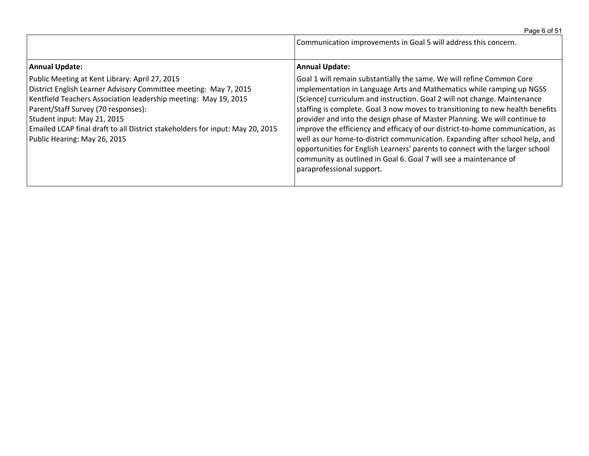|  | Page 6 of 51 |  |  |  |  |
|--|--------------|--|--|--|--|
|--|--------------|--|--|--|--|

|                                                                                                                                                                                                                                                                                                                                                                              | Communication improvements in Goal 5 will address this concern.                                                                                                                                                                                                                                                                                                                                                                                                                                                                                                                                                                                                                                                                                 |
|------------------------------------------------------------------------------------------------------------------------------------------------------------------------------------------------------------------------------------------------------------------------------------------------------------------------------------------------------------------------------|-------------------------------------------------------------------------------------------------------------------------------------------------------------------------------------------------------------------------------------------------------------------------------------------------------------------------------------------------------------------------------------------------------------------------------------------------------------------------------------------------------------------------------------------------------------------------------------------------------------------------------------------------------------------------------------------------------------------------------------------------|
| <b>Annual Update:</b>                                                                                                                                                                                                                                                                                                                                                        | <b>Annual Update:</b>                                                                                                                                                                                                                                                                                                                                                                                                                                                                                                                                                                                                                                                                                                                           |
| Public Meeting at Kent Library: April 27, 2015<br>District English Learner Advisory Committee meeting: May 7, 2015<br>Kentfield Teachers Association leadership meeting: May 19, 2015<br>Parent/Staff Survey (70 responses):<br>Student input: May 21, 2015<br>Emailed LCAP final draft to all District stakeholders for input: May 20, 2015<br>Public Hearing: May 26, 2015 | Goal 1 will remain substantially the same. We will refine Common Core<br>implementation in Language Arts and Mathematics while ramping up NGSS<br>(Science) curriculum and instruction. Goal 2 will not change. Maintenance<br>staffing is complete. Goal 3 now moves to transitioning to new health benefits<br>provider and into the design phase of Master Planning. We will continue to<br>improve the efficiency and efficacy of our district-to-home communication, as<br>well as our home-to-district communication. Expanding after school help, and<br>opportunities for English Learners' parents to connect with the larger school<br>community as outlined in Goal 6. Goal 7 will see a maintenance of<br>paraprofessional support. |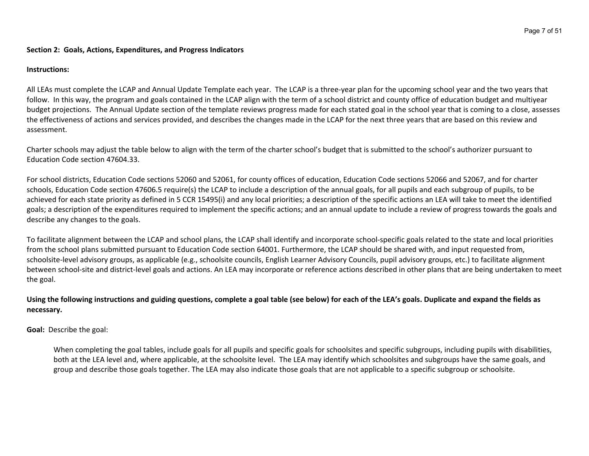#### **Section 2: Goals, Actions, Expenditures, and Progress Indicators**

#### **Instructions:**

All LEAs must complete the LCAP and Annual Update Template each year. The LCAP is a three-year plan for the upcoming school year and the two years that follow. In this way, the program and goals contained in the LCAP align with the term of a school district and county office of education budget and multiyear budget projections. The Annual Update section of the template reviews progress made for each stated goal in the school year that is coming to a close, assesses the effectiveness of actions and services provided, and describes the changes made in the LCAP for the next three years that are based on this review and assessment.

Charter schools may adjust the table below to align with the term of the charter school's budget that is submitted to the school's authorizer pursuant to Education Code section 47604.33.

For school districts, Education Code sections 52060 and 52061, for county offices of education, Education Code sections 52066 and 52067, and for charter schools, Education Code section 47606.5 require(s) the LCAP to include a description of the annual goals, for all pupils and each subgroup of pupils, to be achieved for each state priority as defined in 5 CCR 15495(i) and any local priorities; a description of the specific actions an LEA will take to meet the identified goals; a description of the expenditures required to implement the specific actions; and an annual update to include a review of progress towards the goals and describe any changes to the goals.

To facilitate alignment between the LCAP and school plans, the LCAP shall identify and incorporate school-specific goals related to the state and local priorities from the school plans submitted pursuant to Education Code section 64001. Furthermore, the LCAP should be shared with, and input requested from, schoolsite-level advisory groups, as applicable (e.g., schoolsite councils, English Learner Advisory Councils, pupil advisory groups, etc.) to facilitate alignment between school-site and district-level goals and actions. An LEA may incorporate or reference actions described in other plans that are being undertaken to meet the goal.

## Using the following instructions and guiding questions, complete a goal table (see below) for each of the LEA's goals. Duplicate and expand the fields as **necessary.**

**Goal:** Describe the goal:

When completing the goal tables, include goals for all pupils and specific goals for schoolsites and specific subgroups, including pupils with disabilities, both at the LEA level and, where applicable, at the schoolsite level. The LEA may identify which schoolsites and subgroups have the same goals, and group and describe those goals together. The LEA may also indicate those goals that are not applicable to a specific subgroup or schoolsite.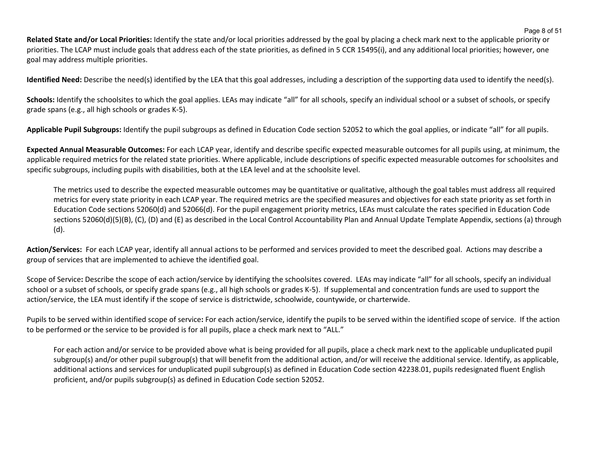**Related State and/or Local Priorities:** Identify the state and/or local priorities addressed by the goal by placing a check mark next to the applicable priority or priorities. The LCAP must include goals that address each of the state priorities, as defined in 5 CCR 15495(i), and any additional local priorities; however, one goal may address multiple priorities.

**Identified Need:** Describe the need(s) identified by the LEA that this goal addresses, including a description of the supporting data used to identify the need(s).

Schools: Identify the schoolsites to which the goal applies. LEAs may indicate "all" for all schools, specify an individual school or a subset of schools, or specify grade spans (e.g., all high schools or grades K-5).

**Applicable Pupil Subgroups:** Identify the pupil subgroups as defined in Education Code section 52052 to which the goal applies, or indicate "all" for all pupils.

**Expected Annual Measurable Outcomes:** For each LCAP year, identify and describe specific expected measurable outcomes for all pupils using, at minimum, the applicable required metrics for the related state priorities. Where applicable, include descriptions of specific expected measurable outcomes for schoolsites and specific subgroups, including pupils with disabilities, both at the LEA level and at the schoolsite level.

The metrics used to describe the expected measurable outcomes may be quantitative or qualitative, although the goal tables must address all required metrics for every state priority in each LCAP year. The required metrics are the specified measures and objectives for each state priority as set forth in Education Code sections 52060(d) and 52066(d). For the pupil engagement priority metrics, LEAs must calculate the rates specified in Education Code sections 52060(d)(5)(B), (C), (D) and (E) as described in the Local Control Accountability Plan and Annual Update Template Appendix, sections (a) through (d).

**Action/Services:** For each LCAP year, identify all annual actions to be performed and services provided to meet the described goal. Actions may describe a group of services that are implemented to achieve the identified goal.

Scope of Service**:** Describe the scope of each action/service by identifying the schoolsites covered. LEAs may indicate "all" for all schools, specify an individual school or a subset of schools, or specify grade spans (e.g., all high schools or grades K-5). If supplemental and concentration funds are used to support the action/service, the LEA must identify if the scope of service is districtwide, schoolwide, countywide, or charterwide.

Pupils to be served within identified scope of service**:** For each action/service, identify the pupils to be served within the identified scope of service. If the action to be performed or the service to be provided is for all pupils, place a check mark next to "ALL."

For each action and/or service to be provided above what is being provided for all pupils, place a check mark next to the applicable unduplicated pupil subgroup(s) and/or other pupil subgroup(s) that will benefit from the additional action, and/or will receive the additional service. Identify, as applicable, additional actions and services for unduplicated pupil subgroup(s) as defined in Education Code section 42238.01, pupils redesignated fluent English proficient, and/or pupils subgroup(s) as defined in Education Code section 52052.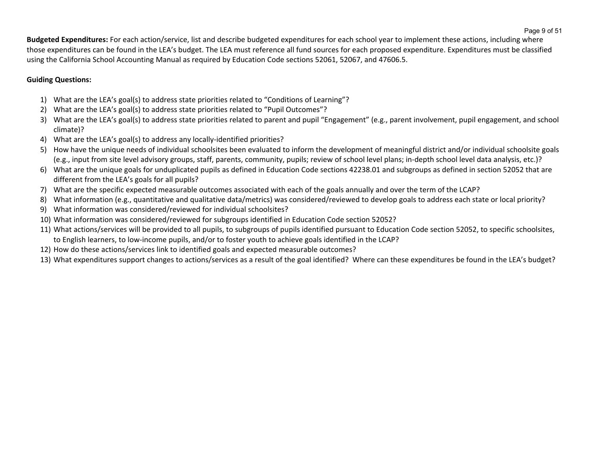**Budgeted Expenditures:** For each action/service, list and describe budgeted expenditures for each school year to implement these actions, including where those expenditures can be found in the LEA's budget. The LEA must reference all fund sources for each proposed expenditure. Expenditures must be classified using the California School Accounting Manual as required by Education Code sections 52061, 52067, and 47606.5.

## **Guiding Questions:**

- 1) What are the LEA's goal(s) to address state priorities related to "Conditions of Learning"?
- 2) What are the LEA's goal(s) to address state priorities related to "Pupil Outcomes"?
- 3) What are the LEA's goal(s) to address state priorities related to parent and pupil "Engagement" (e.g., parent involvement, pupil engagement, and school climate)?
- 4) What are the LEA's goal(s) to address any locally-identified priorities?
- 5) How have the unique needs of individual schoolsites been evaluated to inform the development of meaningful district and/or individual schoolsite goals (e.g., input from site level advisory groups, staff, parents, community, pupils; review of school level plans; in-depth school level data analysis, etc.)?
- 6) What are the unique goals for unduplicated pupils as defined in Education Code sections 42238.01 and subgroups as defined in section 52052 that are different from the LEA's goals for all pupils?
- 7) What are the specific expected measurable outcomes associated with each of the goals annually and over the term of the LCAP?
- 8) What information (e.g., quantitative and qualitative data/metrics) was considered/reviewed to develop goals to address each state or local priority?
- 9) What information was considered/reviewed for individual schoolsites?
- 10) What information was considered/reviewed for subgroups identified in Education Code section 52052?
- 11) What actions/services will be provided to all pupils, to subgroups of pupils identified pursuant to Education Code section 52052, to specific schoolsites, to English learners, to low-income pupils, and/or to foster youth to achieve goals identified in the LCAP?
- 12) How do these actions/services link to identified goals and expected measurable outcomes?
- 13) What expenditures support changes to actions/services as a result of the goal identified? Where can these expenditures be found in the LEA's budget?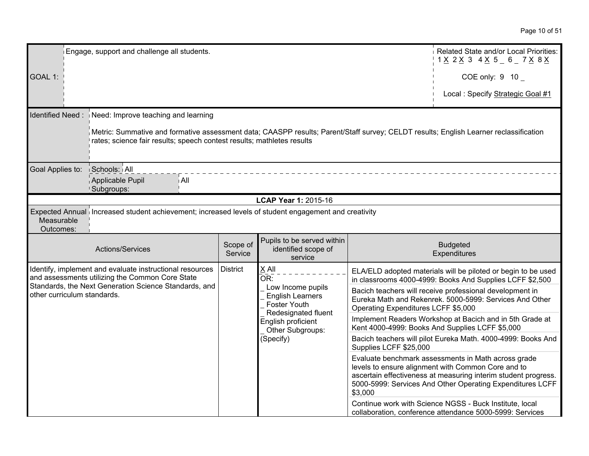| Engage, support and challenge all students.<br>Related State and/or Local Priorities:<br>1 <u>X</u> 2 <u>X</u> 3 4 <u>X</u> 5 _ 6 _ 7 <u>X</u> 8 <u>X</u>                                                       |                                                   |                                                                                            |                                        |                                                                                                                                                                                                                                          |                                                                                                             |
|-----------------------------------------------------------------------------------------------------------------------------------------------------------------------------------------------------------------|---------------------------------------------------|--------------------------------------------------------------------------------------------|----------------------------------------|------------------------------------------------------------------------------------------------------------------------------------------------------------------------------------------------------------------------------------------|-------------------------------------------------------------------------------------------------------------|
| GOAL 1:                                                                                                                                                                                                         |                                                   |                                                                                            |                                        | COE only: 9 10                                                                                                                                                                                                                           |                                                                                                             |
|                                                                                                                                                                                                                 |                                                   |                                                                                            |                                        | Local: Specify Strategic Goal #1                                                                                                                                                                                                         |                                                                                                             |
| Identified Need:<br>Need: Improve teaching and learning                                                                                                                                                         |                                                   |                                                                                            |                                        |                                                                                                                                                                                                                                          |                                                                                                             |
| Netric: Summative and formative assessment data; CAASPP results; Parent/Staff survey; CELDT results; English Learner reclassification<br>rates; science fair results; speech contest results; mathletes results |                                                   |                                                                                            |                                        |                                                                                                                                                                                                                                          |                                                                                                             |
| Goal Applies to:<br>Schools: All                                                                                                                                                                                |                                                   |                                                                                            |                                        |                                                                                                                                                                                                                                          |                                                                                                             |
| Applicable Pupil<br>i All<br>Subgroups:                                                                                                                                                                         |                                                   |                                                                                            |                                        |                                                                                                                                                                                                                                          |                                                                                                             |
|                                                                                                                                                                                                                 |                                                   | LCAP Year 1: 2015-16                                                                       |                                        |                                                                                                                                                                                                                                          |                                                                                                             |
| Expected Annual increased student achievement; increased levels of student engagement and creativity<br>Measurable<br>Outcomes:                                                                                 |                                                   |                                                                                            |                                        |                                                                                                                                                                                                                                          |                                                                                                             |
| Actions/Services                                                                                                                                                                                                | Scope of<br>Service                               | Pupils to be served within<br>identified scope of<br>service                               |                                        | <b>Budgeted</b><br>Expenditures                                                                                                                                                                                                          |                                                                                                             |
| Identify, implement and evaluate instructional resources<br>and assessments utilizing the Common Core State                                                                                                     | <b>District</b><br>X All<br>$\bar{\mathsf{OR}}$ : |                                                                                            |                                        | ELA/ELD adopted materials will be piloted or begin to be used<br>in classrooms 4000-4999: Books And Supplies LCFF \$2,500                                                                                                                |                                                                                                             |
| Standards, the Next Generation Science Standards, and<br>other curriculum standards.                                                                                                                            |                                                   | Low Income pupils<br><b>English Learners</b><br><b>Foster Youth</b><br>Redesignated fluent | Operating Expenditures LCFF \$5,000    | Bacich teachers will receive professional development in<br>Eureka Math and Rekenrek. 5000-5999: Services And Other                                                                                                                      |                                                                                                             |
|                                                                                                                                                                                                                 |                                                   |                                                                                            | English proficient<br>Other Subgroups: |                                                                                                                                                                                                                                          | Implement Readers Workshop at Bacich and in 5th Grade at<br>Kent 4000-4999: Books And Supplies LCFF \$5,000 |
|                                                                                                                                                                                                                 |                                                   | (Specify)                                                                                  | Supplies LCFF \$25,000                 | Bacich teachers will pilot Eureka Math. 4000-4999: Books And                                                                                                                                                                             |                                                                                                             |
|                                                                                                                                                                                                                 |                                                   |                                                                                            | \$3,000                                | Evaluate benchmark assessments in Math across grade<br>levels to ensure alignment with Common Core and to<br>ascertain effectiveness at measuring interim student progress.<br>5000-5999: Services And Other Operating Expenditures LCFF |                                                                                                             |
|                                                                                                                                                                                                                 |                                                   |                                                                                            |                                        | Continue work with Science NGSS - Buck Institute, local<br>collaboration, conference attendance 5000-5999: Services                                                                                                                      |                                                                                                             |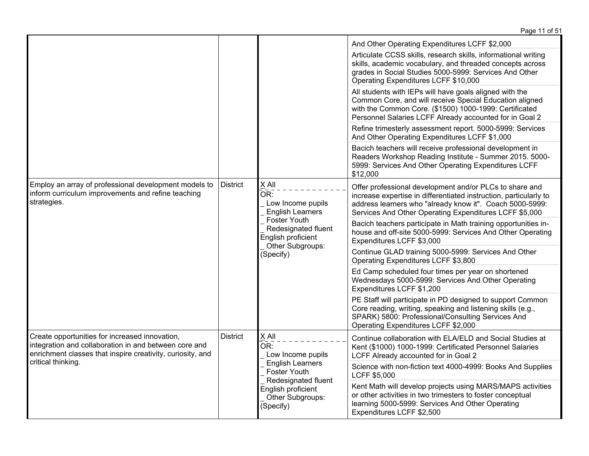|                                                                                                                                                                       |                 |                                                                                                                                                                   | Page 11 of 51                                                                                                                                                                                                                                                                  |
|-----------------------------------------------------------------------------------------------------------------------------------------------------------------------|-----------------|-------------------------------------------------------------------------------------------------------------------------------------------------------------------|--------------------------------------------------------------------------------------------------------------------------------------------------------------------------------------------------------------------------------------------------------------------------------|
|                                                                                                                                                                       |                 |                                                                                                                                                                   | And Other Operating Expenditures LCFF \$2,000<br>Articulate CCSS skills, research skills, informational writing<br>skills, academic vocabulary, and threaded concepts across<br>grades in Social Studies 5000-5999: Services And Other<br>Operating Expenditures LCFF \$10,000 |
|                                                                                                                                                                       |                 |                                                                                                                                                                   | All students with IEPs will have goals aligned with the<br>Common Core, and will receive Special Education aligned<br>with the Common Core. (\$1500) 1000-1999: Certificated<br>Personnel Salaries LCFF Already accounted for in Goal 2                                        |
|                                                                                                                                                                       |                 |                                                                                                                                                                   | Refine trimesterly assessment report. 5000-5999: Services<br>And Other Operating Expenditures LCFF \$1,000                                                                                                                                                                     |
|                                                                                                                                                                       |                 |                                                                                                                                                                   | Bacich teachers will receive professional development in<br>Readers Workshop Reading Institute - Summer 2015. 5000-<br>5999: Services And Other Operating Expenditures LCFF<br>\$12,000                                                                                        |
| Employ an array of professional development models to<br>inform curriculum improvements and refine teaching<br>strategies.                                            | <b>District</b> | X All<br>OR:<br>Low Income pupils<br><b>English Learners</b><br><b>Foster Youth</b><br>Redesignated fluent<br>English proficient<br>Other Subgroups:<br>(Specify) | Offer professional development and/or PLCs to share and<br>increase expertise in differentiated instruction, particularly to<br>address learners who "already know it". Coach 5000-5999:<br>Services And Other Operating Expenditures LCFF \$5,000                             |
|                                                                                                                                                                       |                 |                                                                                                                                                                   | Bacich teachers participate in Math training opportunities in-<br>house and off-site 5000-5999: Services And Other Operating<br>Expenditures LCFF \$3,000                                                                                                                      |
|                                                                                                                                                                       |                 |                                                                                                                                                                   | Continue GLAD training 5000-5999: Services And Other<br>Operating Expenditures LCFF \$3,800                                                                                                                                                                                    |
|                                                                                                                                                                       |                 |                                                                                                                                                                   | Ed Camp scheduled four times per year on shortened<br>Wednesdays 5000-5999: Services And Other Operating<br>Expenditures LCFF \$1,200                                                                                                                                          |
|                                                                                                                                                                       |                 |                                                                                                                                                                   | PE Staff will participate in PD designed to support Common<br>Core reading, writing, speaking and listening skills (e.g.,<br>SPARK) 5800: Professional/Consulting Services And<br>Operating Expenditures LCFF \$2,000                                                          |
| Create opportunities for increased innovation,<br>integration and collaboration in and between core and<br>enrichment classes that inspire creativity, curiosity, and | <b>District</b> | X All<br>OR:<br>Low Income pupils                                                                                                                                 | Continue collaboration with ELA/ELD and Social Studies at<br>Kent (\$1000) 1000-1999: Certificated Personnel Salaries<br>LCFF Already accounted for in Goal 2                                                                                                                  |
| critical thinking.                                                                                                                                                    |                 | <b>English Learners</b><br><b>Foster Youth</b>                                                                                                                    | Science with non-fiction text 4000-4999: Books And Supplies<br><b>LCFF \$5,000</b>                                                                                                                                                                                             |
|                                                                                                                                                                       |                 | Redesignated fluent<br>English proficient<br>Other Subgroups:<br>(Specify)                                                                                        | Kent Math will develop projects using MARS/MAPS activities<br>or other activities in two trimesters to foster conceptual<br>learning 5000-5999: Services And Other Operating<br>Expenditures LCFF \$2,500                                                                      |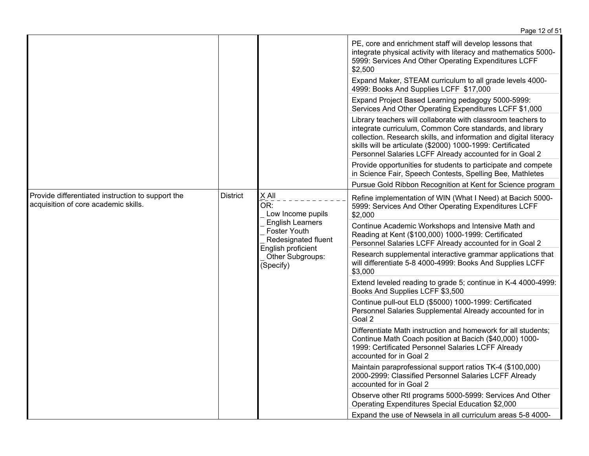|                                                                                                              |  |                                                                                                                                                                                                                                                                                                                        | Page 12 of 51                                                                                                                                                                                             |
|--------------------------------------------------------------------------------------------------------------|--|------------------------------------------------------------------------------------------------------------------------------------------------------------------------------------------------------------------------------------------------------------------------------------------------------------------------|-----------------------------------------------------------------------------------------------------------------------------------------------------------------------------------------------------------|
|                                                                                                              |  |                                                                                                                                                                                                                                                                                                                        | PE, core and enrichment staff will develop lessons that<br>integrate physical activity with literacy and mathematics 5000-<br>5999: Services And Other Operating Expenditures LCFF<br>\$2,500             |
|                                                                                                              |  | Expand Maker, STEAM curriculum to all grade levels 4000-<br>4999: Books And Supplies LCFF \$17,000                                                                                                                                                                                                                     |                                                                                                                                                                                                           |
|                                                                                                              |  |                                                                                                                                                                                                                                                                                                                        | Expand Project Based Learning pedagogy 5000-5999:<br>Services And Other Operating Expenditures LCFF \$1,000                                                                                               |
|                                                                                                              |  | Library teachers will collaborate with classroom teachers to<br>integrate curriculum, Common Core standards, and library<br>collection. Research skills, and information and digital literacy<br>skills will be articulate (\$2000) 1000-1999: Certificated<br>Personnel Salaries LCFF Already accounted for in Goal 2 |                                                                                                                                                                                                           |
|                                                                                                              |  | Provide opportunities for students to participate and compete<br>in Science Fair, Speech Contests, Spelling Bee, Mathletes                                                                                                                                                                                             |                                                                                                                                                                                                           |
|                                                                                                              |  |                                                                                                                                                                                                                                                                                                                        | Pursue Gold Ribbon Recognition at Kent for Science program                                                                                                                                                |
| <b>District</b><br>Provide differentiated instruction to support the<br>acquisition of core academic skills. |  | $\times$ All<br>OR:<br>Low Income pupils<br><b>English Learners</b><br>Foster Youth<br>Redesignated fluent<br>English proficient<br>Other Subgroups:<br>(Specify)                                                                                                                                                      | Refine implementation of WIN (What I Need) at Bacich 5000-<br>5999: Services And Other Operating Expenditures LCFF<br>\$2,000                                                                             |
|                                                                                                              |  |                                                                                                                                                                                                                                                                                                                        | Continue Academic Workshops and Intensive Math and<br>Reading at Kent (\$100,000) 1000-1999: Certificated<br>Personnel Salaries LCFF Already accounted for in Goal 2                                      |
|                                                                                                              |  |                                                                                                                                                                                                                                                                                                                        | Research supplemental interactive grammar applications that<br>will differentiate 5-8 4000-4999: Books And Supplies LCFF<br>\$3,000                                                                       |
|                                                                                                              |  |                                                                                                                                                                                                                                                                                                                        | Extend leveled reading to grade 5; continue in K-4 4000-4999:<br>Books And Supplies LCFF \$3,500                                                                                                          |
|                                                                                                              |  |                                                                                                                                                                                                                                                                                                                        | Continue pull-out ELD (\$5000) 1000-1999: Certificated<br>Personnel Salaries Supplemental Already accounted for in<br>Goal 2                                                                              |
|                                                                                                              |  |                                                                                                                                                                                                                                                                                                                        | Differentiate Math instruction and homework for all students;<br>Continue Math Coach position at Bacich (\$40,000) 1000-<br>1999: Certificated Personnel Salaries LCFF Already<br>accounted for in Goal 2 |
|                                                                                                              |  |                                                                                                                                                                                                                                                                                                                        | Maintain paraprofessional support ratios TK-4 (\$100,000)<br>2000-2999: Classified Personnel Salaries LCFF Already<br>accounted for in Goal 2                                                             |
|                                                                                                              |  | Observe other Rtl programs 5000-5999: Services And Other<br>Operating Expenditures Special Education \$2,000                                                                                                                                                                                                           |                                                                                                                                                                                                           |
|                                                                                                              |  |                                                                                                                                                                                                                                                                                                                        | Expand the use of Newsela in all curriculum areas 5-8 4000-                                                                                                                                               |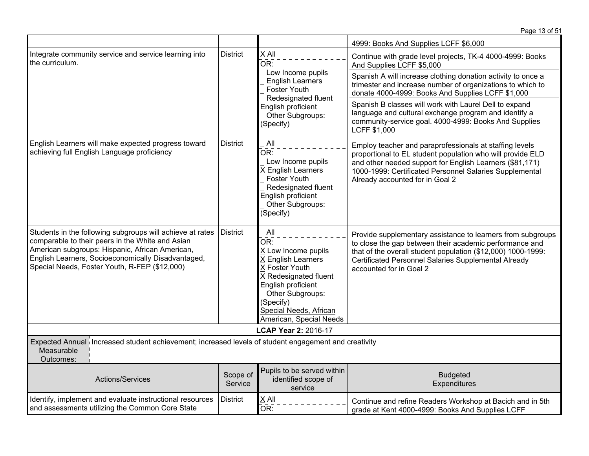|                                                                                                                                                                                                                                                                         |                                                                                                 |                                                                                                                                                                                                                       | 4999: Books And Supplies LCFF \$6,000                                                                                                                                                                                                                                           |  |
|-------------------------------------------------------------------------------------------------------------------------------------------------------------------------------------------------------------------------------------------------------------------------|-------------------------------------------------------------------------------------------------|-----------------------------------------------------------------------------------------------------------------------------------------------------------------------------------------------------------------------|---------------------------------------------------------------------------------------------------------------------------------------------------------------------------------------------------------------------------------------------------------------------------------|--|
| Integrate community service and service learning into<br>the curriculum.                                                                                                                                                                                                | X All<br><b>District</b><br>OR:<br>Low Income pupils<br><b>English Learners</b><br>Foster Youth |                                                                                                                                                                                                                       | Continue with grade level projects, TK-4 4000-4999: Books<br>And Supplies LCFF \$5,000                                                                                                                                                                                          |  |
|                                                                                                                                                                                                                                                                         |                                                                                                 |                                                                                                                                                                                                                       | Spanish A will increase clothing donation activity to once a<br>trimester and increase number of organizations to which to<br>donate 4000-4999: Books And Supplies LCFF \$1,000                                                                                                 |  |
|                                                                                                                                                                                                                                                                         |                                                                                                 | Redesignated fluent<br>English proficient<br>Other Subgroups:<br>(Specify)                                                                                                                                            | Spanish B classes will work with Laurel Dell to expand<br>language and cultural exchange program and identify a<br>community-service goal. 4000-4999: Books And Supplies<br>LCFF \$1,000                                                                                        |  |
| English Learners will make expected progress toward<br>achieving full English Language proficiency                                                                                                                                                                      | <b>District</b>                                                                                 | All<br>OR:<br>Low Income pupils<br>X English Learners<br>Foster Youth<br>Redesignated fluent<br>English proficient<br>Other Subgroups:<br>(Specify)                                                                   | Employ teacher and paraprofessionals at staffing levels<br>proportional to EL student population who will provide ELD<br>and other needed support for English Learners (\$81,171)<br>1000-1999: Certificated Personnel Salaries Supplemental<br>Already accounted for in Goal 2 |  |
| Students in the following subgroups will achieve at rates<br>comparable to their peers in the White and Asian<br>American subgroups: Hispanic, African American,<br>English Learners, Socioeconomically Disadvantaged,<br>Special Needs, Foster Youth, R-FEP (\$12,000) | <b>District</b>                                                                                 | All<br>OR:<br>X Low Income pupils<br><b>X English Learners</b><br>X Foster Youth<br>X Redesignated fluent<br>English proficient<br>Other Subgroups:<br>(Specify)<br>Special Needs, African<br>American, Special Needs | Provide supplementary assistance to learners from subgroups<br>to close the gap between their academic performance and<br>that of the overall student population (\$12,000) 1000-1999:<br>Certificated Personnel Salaries Supplemental Already<br>accounted for in Goal 2       |  |
|                                                                                                                                                                                                                                                                         |                                                                                                 | <b>LCAP Year 2: 2016-17</b>                                                                                                                                                                                           |                                                                                                                                                                                                                                                                                 |  |
| Expected Annual Increased student achievement; increased levels of student engagement and creativity<br>Measurable<br>Outcomes:                                                                                                                                         |                                                                                                 |                                                                                                                                                                                                                       |                                                                                                                                                                                                                                                                                 |  |
| <b>Actions/Services</b>                                                                                                                                                                                                                                                 | Scope of<br>Service                                                                             | Pupils to be served within<br>identified scope of<br>service                                                                                                                                                          | <b>Budgeted</b><br>Expenditures                                                                                                                                                                                                                                                 |  |
| Identify, implement and evaluate instructional resources<br>and assessments utilizing the Common Core State                                                                                                                                                             | <b>District</b>                                                                                 | $X$ All<br>OR:                                                                                                                                                                                                        | Continue and refine Readers Workshop at Bacich and in 5th<br>grade at Kent 4000-4999: Books And Supplies LCFF                                                                                                                                                                   |  |

Page 13 of 51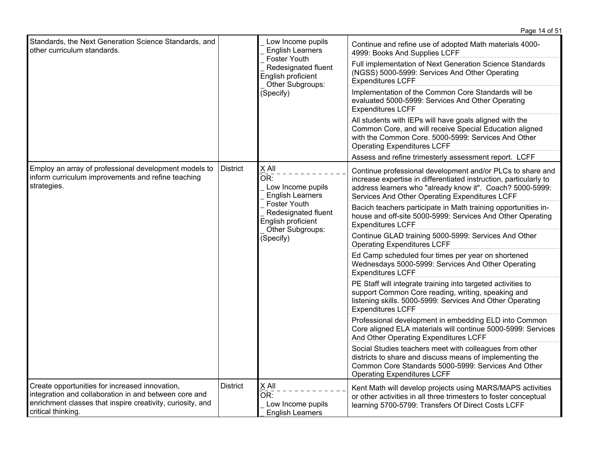|                                                                                                                                                                                             |                 |                                                                                                                                                            | Page 14 of 51                                                                                                                                                                                                                                  |
|---------------------------------------------------------------------------------------------------------------------------------------------------------------------------------------------|-----------------|------------------------------------------------------------------------------------------------------------------------------------------------------------|------------------------------------------------------------------------------------------------------------------------------------------------------------------------------------------------------------------------------------------------|
| Standards, the Next Generation Science Standards, and<br>other curriculum standards.                                                                                                        |                 | Low Income pupils<br><b>English Learners</b><br>Foster Youth<br>Redesignated fluent<br>English proficient<br>Other Subgroups:<br>(Specify)                 | Continue and refine use of adopted Math materials 4000-<br>4999: Books And Supplies LCFF                                                                                                                                                       |
|                                                                                                                                                                                             |                 |                                                                                                                                                            | Full implementation of Next Generation Science Standards<br>(NGSS) 5000-5999: Services And Other Operating<br><b>Expenditures LCFF</b>                                                                                                         |
|                                                                                                                                                                                             |                 |                                                                                                                                                            | Implementation of the Common Core Standards will be<br>evaluated 5000-5999: Services And Other Operating<br><b>Expenditures LCFF</b>                                                                                                           |
|                                                                                                                                                                                             |                 |                                                                                                                                                            | All students with IEPs will have goals aligned with the<br>Common Core, and will receive Special Education aligned<br>with the Common Core. 5000-5999: Services And Other<br><b>Operating Expenditures LCFF</b>                                |
|                                                                                                                                                                                             |                 |                                                                                                                                                            | Assess and refine trimesterly assessment report. LCFF                                                                                                                                                                                          |
| Employ an array of professional development models to<br>inform curriculum improvements and refine teaching<br>strategies.                                                                  | <b>District</b> | X All<br>OR:<br>Low Income pupils<br><b>English Learners</b><br>Foster Youth<br>Redesignated fluent<br>English proficient<br>Other Subgroups:<br>(Specify) | Continue professional development and/or PLCs to share and<br>increase expertise in differentiated instruction, particularly to<br>address learners who "already know it". Coach? 5000-5999:<br>Services And Other Operating Expenditures LCFF |
|                                                                                                                                                                                             |                 |                                                                                                                                                            | Bacich teachers participate in Math training opportunities in-<br>house and off-site 5000-5999: Services And Other Operating<br><b>Expenditures LCFF</b>                                                                                       |
|                                                                                                                                                                                             |                 |                                                                                                                                                            | Continue GLAD training 5000-5999: Services And Other<br><b>Operating Expenditures LCFF</b>                                                                                                                                                     |
|                                                                                                                                                                                             |                 |                                                                                                                                                            | Ed Camp scheduled four times per year on shortened<br>Wednesdays 5000-5999: Services And Other Operating<br><b>Expenditures LCFF</b>                                                                                                           |
|                                                                                                                                                                                             |                 |                                                                                                                                                            | PE Staff will integrate training into targeted activities to<br>support Common Core reading, writing, speaking and<br>listening skills. 5000-5999: Services And Other Operating<br><b>Expenditures LCFF</b>                                    |
|                                                                                                                                                                                             |                 |                                                                                                                                                            | Professional development in embedding ELD into Common<br>Core aligned ELA materials will continue 5000-5999: Services<br>And Other Operating Expenditures LCFF                                                                                 |
|                                                                                                                                                                                             |                 |                                                                                                                                                            | Social Studies teachers meet with colleagues from other<br>districts to share and discuss means of implementing the<br>Common Core Standards 5000-5999: Services And Other<br><b>Operating Expenditures LCFF</b>                               |
| Create opportunities for increased innovation,<br>integration and collaboration in and between core and<br>enrichment classes that inspire creativity, curiosity, and<br>critical thinking. | <b>District</b> | X All<br>OR:<br>Low Income pupils<br><b>English Learners</b>                                                                                               | Kent Math will develop projects using MARS/MAPS activities<br>or other activities in all three trimesters to foster conceptual<br>learning 5700-5799: Transfers Of Direct Costs LCFF                                                           |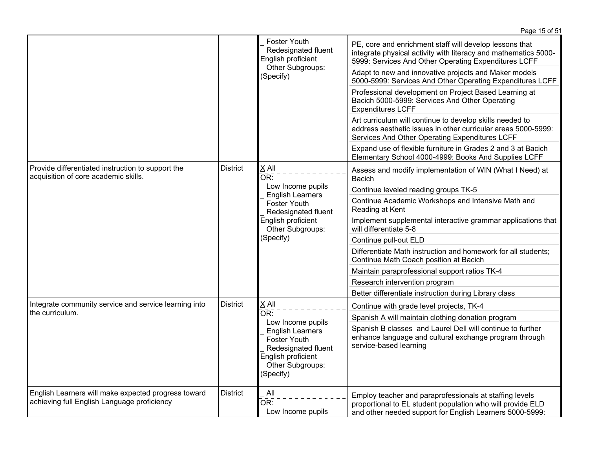|                                                                                                    |                                                                                                                                            |                                                                                                                                                | Page 15 of 51                                                                                                                                                                      |
|----------------------------------------------------------------------------------------------------|--------------------------------------------------------------------------------------------------------------------------------------------|------------------------------------------------------------------------------------------------------------------------------------------------|------------------------------------------------------------------------------------------------------------------------------------------------------------------------------------|
|                                                                                                    |                                                                                                                                            | Foster Youth<br>Redesignated fluent<br>English proficient                                                                                      | PE, core and enrichment staff will develop lessons that<br>integrate physical activity with literacy and mathematics 5000-<br>5999: Services And Other Operating Expenditures LCFF |
|                                                                                                    |                                                                                                                                            | Other Subgroups:<br>(Specify)                                                                                                                  | Adapt to new and innovative projects and Maker models<br>5000-5999: Services And Other Operating Expenditures LCFF                                                                 |
|                                                                                                    |                                                                                                                                            |                                                                                                                                                | Professional development on Project Based Learning at<br>Bacich 5000-5999: Services And Other Operating<br><b>Expenditures LCFF</b>                                                |
|                                                                                                    |                                                                                                                                            |                                                                                                                                                | Art curriculum will continue to develop skills needed to<br>address aesthetic issues in other curricular areas 5000-5999:<br>Services And Other Operating Expenditures LCFF        |
|                                                                                                    |                                                                                                                                            |                                                                                                                                                | Expand use of flexible furniture in Grades 2 and 3 at Bacich<br>Elementary School 4000-4999: Books And Supplies LCFF                                                               |
| Provide differentiated instruction to support the<br>acquisition of core academic skills.          | <b>District</b>                                                                                                                            | X All<br>OR:                                                                                                                                   | Assess and modify implementation of WIN (What I Need) at<br>Bacich                                                                                                                 |
|                                                                                                    |                                                                                                                                            | Low Income pupils<br><b>English Learners</b><br>Foster Youth<br>Redesignated fluent<br>English proficient<br>Other Subgroups:<br>(Specify)     | Continue leveled reading groups TK-5                                                                                                                                               |
|                                                                                                    |                                                                                                                                            |                                                                                                                                                | Continue Academic Workshops and Intensive Math and<br>Reading at Kent                                                                                                              |
|                                                                                                    |                                                                                                                                            |                                                                                                                                                | Implement supplemental interactive grammar applications that<br>will differentiate 5-8                                                                                             |
|                                                                                                    |                                                                                                                                            |                                                                                                                                                | Continue pull-out ELD                                                                                                                                                              |
|                                                                                                    |                                                                                                                                            |                                                                                                                                                | Differentiate Math instruction and homework for all students;<br>Continue Math Coach position at Bacich                                                                            |
|                                                                                                    |                                                                                                                                            |                                                                                                                                                | Maintain paraprofessional support ratios TK-4                                                                                                                                      |
|                                                                                                    |                                                                                                                                            |                                                                                                                                                | Research intervention program                                                                                                                                                      |
|                                                                                                    |                                                                                                                                            |                                                                                                                                                | Better differentiate instruction during Library class                                                                                                                              |
| Integrate community service and service learning into                                              | <b>District</b>                                                                                                                            | X All<br>OR:                                                                                                                                   | Continue with grade level projects, TK-4                                                                                                                                           |
| the curriculum.                                                                                    |                                                                                                                                            |                                                                                                                                                | Spanish A will maintain clothing donation program                                                                                                                                  |
|                                                                                                    | Low Income pupils<br><b>English Learners</b><br>Foster Youth<br>Redesignated fluent<br>English proficient<br>Other Subgroups:<br>(Specify) | Spanish B classes and Laurel Dell will continue to further<br>enhance language and cultural exchange program through<br>service-based learning |                                                                                                                                                                                    |
| English Learners will make expected progress toward<br>achieving full English Language proficiency | <b>District</b>                                                                                                                            | All<br>OR:<br>Low Income pupils                                                                                                                | Employ teacher and paraprofessionals at staffing levels<br>proportional to EL student population who will provide ELD<br>and other needed support for English Learners 5000-5999:  |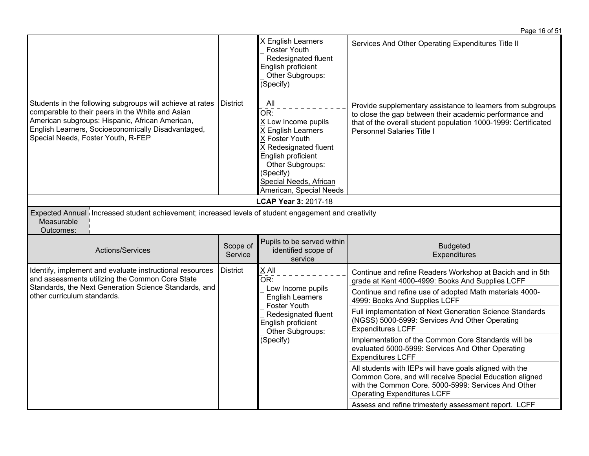|                                                                                                                                                                                                                                                              |                     |                                                                                                                                                                                                                | Page 16 of 51                                                                                                                                                                                                          |
|--------------------------------------------------------------------------------------------------------------------------------------------------------------------------------------------------------------------------------------------------------------|---------------------|----------------------------------------------------------------------------------------------------------------------------------------------------------------------------------------------------------------|------------------------------------------------------------------------------------------------------------------------------------------------------------------------------------------------------------------------|
|                                                                                                                                                                                                                                                              |                     | X English Learners<br><b>Foster Youth</b><br>Redesignated fluent<br>English proficient<br>Other Subgroups:<br>(Specify)                                                                                        | Services And Other Operating Expenditures Title II                                                                                                                                                                     |
| Students in the following subgroups will achieve at rates<br>comparable to their peers in the White and Asian<br>American subgroups: Hispanic, African American,<br>English Learners, Socioeconomically Disadvantaged,<br>Special Needs, Foster Youth, R-FEP | District            | All<br>OR:<br>X Low Income pupils<br>X English Learners<br>X Foster Youth<br>X Redesignated fluent<br>English proficient<br>Other Subgroups:<br>(Specify)<br>Special Needs, African<br>American, Special Needs | Provide supplementary assistance to learners from subgroups<br>to close the gap between their academic performance and<br>that of the overall student population 1000-1999: Certificated<br>Personnel Salaries Title I |
|                                                                                                                                                                                                                                                              |                     | LCAP Year 3: 2017-18                                                                                                                                                                                           |                                                                                                                                                                                                                        |
| Expected Annual Increased student achievement; increased levels of student engagement and creativity<br>Measurable<br>Outcomes:                                                                                                                              |                     |                                                                                                                                                                                                                |                                                                                                                                                                                                                        |
| Actions/Services                                                                                                                                                                                                                                             | Scope of<br>Service | Pupils to be served within<br>identified scope of<br>service                                                                                                                                                   | <b>Budgeted</b><br>Expenditures                                                                                                                                                                                        |
| Identify, implement and evaluate instructional resources<br>and assessments utilizing the Common Core State                                                                                                                                                  | <b>District</b>     | X All<br>OR:                                                                                                                                                                                                   | Continue and refine Readers Workshop at Bacich and in 5th<br>grade at Kent 4000-4999: Books And Supplies LCFF                                                                                                          |
| Standards, the Next Generation Science Standards, and<br>other curriculum standards.                                                                                                                                                                         |                     | Low Income pupils<br><b>English Learners</b><br>Foster Youth                                                                                                                                                   | Continue and refine use of adopted Math materials 4000-<br>4999: Books And Supplies LCFF                                                                                                                               |
|                                                                                                                                                                                                                                                              |                     | Redesignated fluent<br>English proficient<br>Other Subgroups:                                                                                                                                                  | Full implementation of Next Generation Science Standards<br>(NGSS) 5000-5999: Services And Other Operating<br><b>Expenditures LCFF</b>                                                                                 |
|                                                                                                                                                                                                                                                              |                     | (Specify)                                                                                                                                                                                                      | Implementation of the Common Core Standards will be<br>evaluated 5000-5999: Services And Other Operating<br><b>Expenditures LCFF</b>                                                                                   |
|                                                                                                                                                                                                                                                              |                     |                                                                                                                                                                                                                | All students with IEPs will have goals aligned with the<br>Common Core, and will receive Special Education aligned<br>with the Common Core. 5000-5999: Services And Other<br><b>Operating Expenditures LCFF</b>        |
|                                                                                                                                                                                                                                                              |                     |                                                                                                                                                                                                                | Assess and refine trimesterly assessment report. LCFF                                                                                                                                                                  |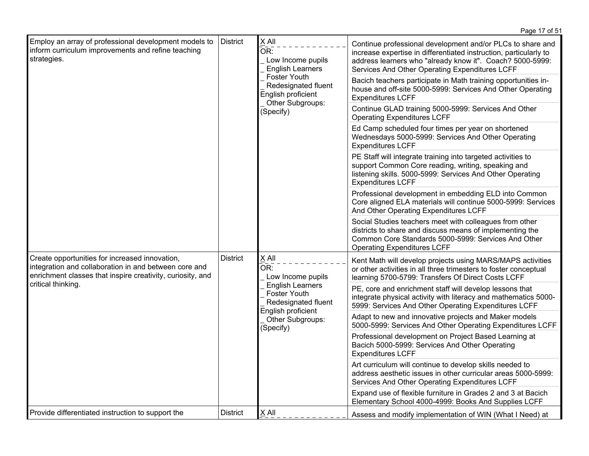|                                                                                                                                                                       |                                 |                                                                                                                                                                                                                  | Page 17 of 51                                                                                                                                                                                                                                  |
|-----------------------------------------------------------------------------------------------------------------------------------------------------------------------|---------------------------------|------------------------------------------------------------------------------------------------------------------------------------------------------------------------------------------------------------------|------------------------------------------------------------------------------------------------------------------------------------------------------------------------------------------------------------------------------------------------|
| Employ an array of professional development models to<br>inform curriculum improvements and refine teaching<br>strategies.                                            | <b>District</b>                 | X All<br>OR:<br>Low Income pupils<br><b>English Learners</b><br><b>Foster Youth</b><br>Redesignated fluent<br>English proficient                                                                                 | Continue professional development and/or PLCs to share and<br>increase expertise in differentiated instruction, particularly to<br>address learners who "already know it". Coach? 5000-5999:<br>Services And Other Operating Expenditures LCFF |
|                                                                                                                                                                       |                                 |                                                                                                                                                                                                                  | Bacich teachers participate in Math training opportunities in-<br>house and off-site 5000-5999: Services And Other Operating<br><b>Expenditures LCFF</b>                                                                                       |
|                                                                                                                                                                       |                                 | Other Subgroups:<br>(Specify)                                                                                                                                                                                    | Continue GLAD training 5000-5999: Services And Other<br><b>Operating Expenditures LCFF</b>                                                                                                                                                     |
|                                                                                                                                                                       |                                 |                                                                                                                                                                                                                  | Ed Camp scheduled four times per year on shortened<br>Wednesdays 5000-5999: Services And Other Operating<br><b>Expenditures LCFF</b>                                                                                                           |
|                                                                                                                                                                       |                                 |                                                                                                                                                                                                                  | PE Staff will integrate training into targeted activities to<br>support Common Core reading, writing, speaking and<br>listening skills. 5000-5999: Services And Other Operating<br><b>Expenditures LCFF</b>                                    |
|                                                                                                                                                                       |                                 |                                                                                                                                                                                                                  | Professional development in embedding ELD into Common<br>Core aligned ELA materials will continue 5000-5999: Services<br>And Other Operating Expenditures LCFF                                                                                 |
|                                                                                                                                                                       |                                 | Social Studies teachers meet with colleagues from other<br>districts to share and discuss means of implementing the<br>Common Core Standards 5000-5999: Services And Other<br><b>Operating Expenditures LCFF</b> |                                                                                                                                                                                                                                                |
| Create opportunities for increased innovation,<br>integration and collaboration in and between core and<br>enrichment classes that inspire creativity, curiosity, and | <b>District</b><br>X All<br>OR: | Low Income pupils                                                                                                                                                                                                | Kent Math will develop projects using MARS/MAPS activities<br>or other activities in all three trimesters to foster conceptual<br>learning 5700-5799: Transfers Of Direct Costs LCFF                                                           |
| critical thinking.                                                                                                                                                    |                                 | <b>English Learners</b><br>Foster Youth<br>Redesignated fluent<br>English proficient<br>Other Subgroups:<br>(Specify)                                                                                            | PE, core and enrichment staff will develop lessons that<br>integrate physical activity with literacy and mathematics 5000-<br>5999: Services And Other Operating Expenditures LCFF                                                             |
|                                                                                                                                                                       |                                 |                                                                                                                                                                                                                  | Adapt to new and innovative projects and Maker models<br>5000-5999: Services And Other Operating Expenditures LCFF                                                                                                                             |
|                                                                                                                                                                       |                                 |                                                                                                                                                                                                                  | Professional development on Project Based Learning at<br>Bacich 5000-5999: Services And Other Operating<br><b>Expenditures LCFF</b>                                                                                                            |
|                                                                                                                                                                       |                                 |                                                                                                                                                                                                                  | Art curriculum will continue to develop skills needed to<br>address aesthetic issues in other curricular areas 5000-5999:<br>Services And Other Operating Expenditures LCFF                                                                    |
|                                                                                                                                                                       |                                 |                                                                                                                                                                                                                  | Expand use of flexible furniture in Grades 2 and 3 at Bacich<br>Elementary School 4000-4999: Books And Supplies LCFF                                                                                                                           |
| Provide differentiated instruction to support the                                                                                                                     | <b>District</b>                 | $X$ All                                                                                                                                                                                                          | Assess and modify implementation of WIN (What I Need) at                                                                                                                                                                                       |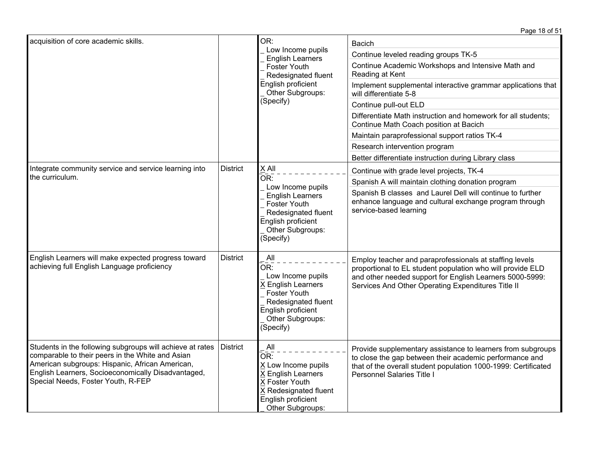|                                                                                                                                                                                                                                                              |                                                                     |                                                                                                                                                            | Page 18 of 51                                                                                                                                                                                                                           |
|--------------------------------------------------------------------------------------------------------------------------------------------------------------------------------------------------------------------------------------------------------------|---------------------------------------------------------------------|------------------------------------------------------------------------------------------------------------------------------------------------------------|-----------------------------------------------------------------------------------------------------------------------------------------------------------------------------------------------------------------------------------------|
| acquisition of core academic skills.                                                                                                                                                                                                                         | OR:<br>Low Income pupils<br><b>English Learners</b><br>Foster Youth |                                                                                                                                                            | <b>Bacich</b><br>Continue leveled reading groups TK-5                                                                                                                                                                                   |
|                                                                                                                                                                                                                                                              |                                                                     | Redesignated fluent                                                                                                                                        | Continue Academic Workshops and Intensive Math and<br>Reading at Kent                                                                                                                                                                   |
|                                                                                                                                                                                                                                                              |                                                                     | English proficient<br>Other Subgroups:                                                                                                                     | Implement supplemental interactive grammar applications that<br>will differentiate 5-8                                                                                                                                                  |
|                                                                                                                                                                                                                                                              |                                                                     | (Specify)                                                                                                                                                  | Continue pull-out ELD                                                                                                                                                                                                                   |
|                                                                                                                                                                                                                                                              |                                                                     |                                                                                                                                                            | Differentiate Math instruction and homework for all students;<br>Continue Math Coach position at Bacich                                                                                                                                 |
|                                                                                                                                                                                                                                                              |                                                                     |                                                                                                                                                            | Maintain paraprofessional support ratios TK-4                                                                                                                                                                                           |
|                                                                                                                                                                                                                                                              |                                                                     |                                                                                                                                                            | Research intervention program                                                                                                                                                                                                           |
|                                                                                                                                                                                                                                                              |                                                                     |                                                                                                                                                            | Better differentiate instruction during Library class                                                                                                                                                                                   |
| Integrate community service and service learning into                                                                                                                                                                                                        | <b>District</b>                                                     | X All                                                                                                                                                      | Continue with grade level projects, TK-4                                                                                                                                                                                                |
| the curriculum.                                                                                                                                                                                                                                              |                                                                     | OR:                                                                                                                                                        | Spanish A will maintain clothing donation program                                                                                                                                                                                       |
|                                                                                                                                                                                                                                                              |                                                                     | Low Income pupils<br><b>English Learners</b><br><b>Foster Youth</b><br>Redesignated fluent<br>English proficient<br>Other Subgroups:<br>(Specify)          | Spanish B classes and Laurel Dell will continue to further<br>enhance language and cultural exchange program through<br>service-based learning                                                                                          |
| English Learners will make expected progress toward<br>achieving full English Language proficiency                                                                                                                                                           | <b>District</b>                                                     | All<br>OR:<br>Low Income pupils<br>X English Learners<br><b>Foster Youth</b><br>Redesignated fluent<br>English proficient<br>Other Subgroups:<br>(Specify) | Employ teacher and paraprofessionals at staffing levels<br>proportional to EL student population who will provide ELD<br>and other needed support for English Learners 5000-5999:<br>Services And Other Operating Expenditures Title II |
| Students in the following subgroups will achieve at rates<br>comparable to their peers in the White and Asian<br>American subgroups: Hispanic, African American,<br>English Learners, Socioeconomically Disadvantaged,<br>Special Needs, Foster Youth, R-FEP | <b>District</b>                                                     | All<br>OR:<br>X Low Income pupils<br>X English Learners<br>X Foster Youth<br>X Redesignated fluent<br>English proficient<br>Other Subgroups:               | Provide supplementary assistance to learners from subgroups<br>to close the gap between their academic performance and<br>that of the overall student population 1000-1999: Certificated<br>Personnel Salaries Title I                  |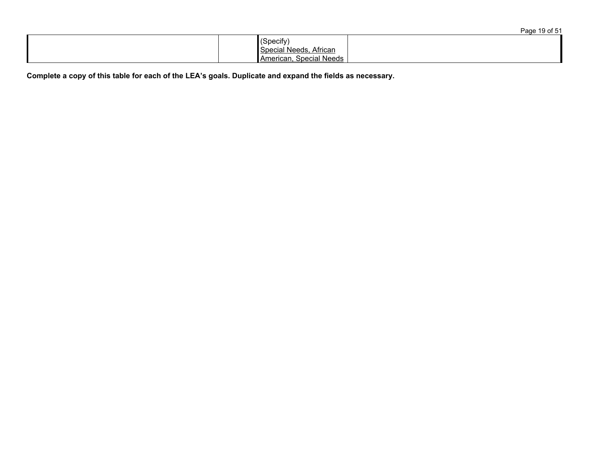|                                                                | Page 19 of 51 |
|----------------------------------------------------------------|---------------|
| (Specify)<br>Special Needs, African<br>American, Special Needs |               |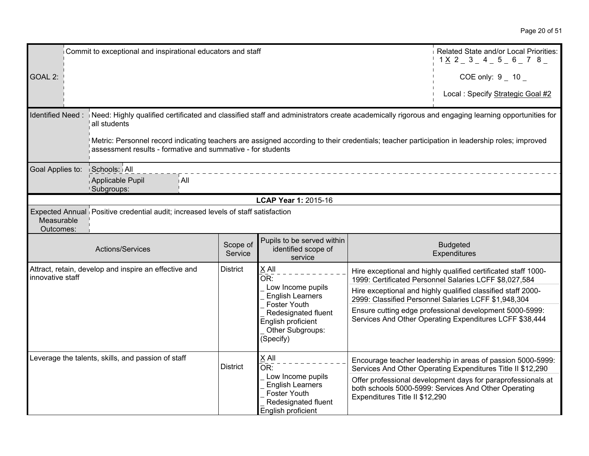| Commit to exceptional and inspirational educators and staff |                                                                                                                                                                                                              |                     |                                                                                            |  | Related State and/or Local Priorities:<br>$1 \times 2 = 3 = 4 = 5 = 6 = 7$ 8                                               |
|-------------------------------------------------------------|--------------------------------------------------------------------------------------------------------------------------------------------------------------------------------------------------------------|---------------------|--------------------------------------------------------------------------------------------|--|----------------------------------------------------------------------------------------------------------------------------|
| GOAL 2:                                                     |                                                                                                                                                                                                              |                     |                                                                                            |  | COE only: $9 - 10$                                                                                                         |
|                                                             |                                                                                                                                                                                                              |                     |                                                                                            |  | Local : Specify Strategic Goal #2                                                                                          |
| Identified Need:                                            | Need: Highly qualified certificated and classified staff and administrators create academically rigorous and engaging learning opportunities for<br>all students                                             |                     |                                                                                            |  |                                                                                                                            |
|                                                             | Metric: Personnel record indicating teachers are assigned according to their credentials; teacher participation in leadership roles; improved<br>assessment results - formative and summative - for students |                     |                                                                                            |  |                                                                                                                            |
| Goal Applies to:                                            | Schools: All<br>Applicable Pupil<br>i All<br>Subgroups:                                                                                                                                                      |                     |                                                                                            |  |                                                                                                                            |
|                                                             |                                                                                                                                                                                                              |                     | LCAP Year 1: 2015-16                                                                       |  |                                                                                                                            |
| Measurable<br>Outcomes:                                     | Expected Annual Positive credential audit; increased levels of staff satisfaction                                                                                                                            |                     |                                                                                            |  |                                                                                                                            |
|                                                             |                                                                                                                                                                                                              |                     |                                                                                            |  |                                                                                                                            |
|                                                             | Actions/Services                                                                                                                                                                                             | Scope of<br>Service | Pupils to be served within<br>identified scope of<br>service                               |  | <b>Budgeted</b><br>Expenditures                                                                                            |
| innovative staff                                            | Attract, retain, develop and inspire an effective and                                                                                                                                                        | <b>District</b>     | X All<br>OR:                                                                               |  | Hire exceptional and highly qualified certificated staff 1000-<br>1999: Certificated Personnel Salaries LCFF \$8,027,584   |
|                                                             |                                                                                                                                                                                                              |                     | Low Income pupils<br><b>English Learners</b>                                               |  | Hire exceptional and highly qualified classified staff 2000-<br>2999: Classified Personnel Salaries LCFF \$1,948,304       |
|                                                             |                                                                                                                                                                                                              |                     | Foster Youth<br>Redesignated fluent<br>English proficient<br>Other Subgroups:<br>(Specify) |  | Ensure cutting edge professional development 5000-5999:<br>Services And Other Operating Expenditures LCFF \$38,444         |
|                                                             | Leverage the talents, skills, and passion of staff                                                                                                                                                           | <b>District</b>     | X All<br>$\bar{OR}$ :<br>Low Income pupils                                                 |  | Encourage teacher leadership in areas of passion 5000-5999:<br>Services And Other Operating Expenditures Title II \$12,290 |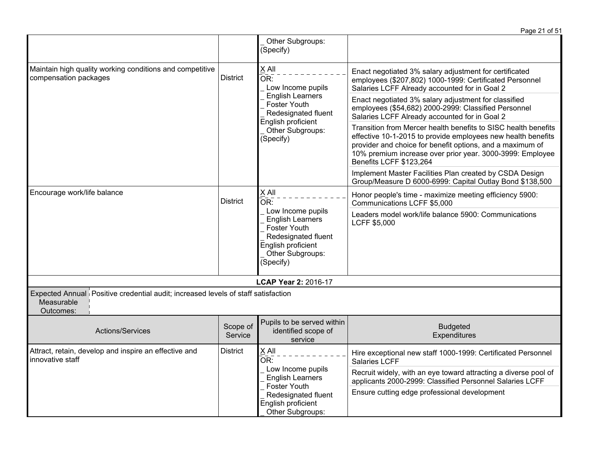|                                                                                                              |                               |                                                                                                                                                                                                                                                                                     | Page 21 of 51                                                                                                                                                      |
|--------------------------------------------------------------------------------------------------------------|-------------------------------|-------------------------------------------------------------------------------------------------------------------------------------------------------------------------------------------------------------------------------------------------------------------------------------|--------------------------------------------------------------------------------------------------------------------------------------------------------------------|
|                                                                                                              |                               | Other Subgroups:<br>(Specify)                                                                                                                                                                                                                                                       |                                                                                                                                                                    |
| Maintain high quality working conditions and competitive<br>compensation packages                            | <b>District</b>               | IIA X<br>$\overline{\mathsf{OR}!}$<br>Low Income pupils                                                                                                                                                                                                                             | Enact negotiated 3% salary adjustment for certificated<br>employees (\$207,802) 1000-1999: Certificated Personnel<br>Salaries LCFF Already accounted for in Goal 2 |
|                                                                                                              |                               | <b>English Learners</b><br><b>Foster Youth</b><br>Redesignated fluent<br>English proficient                                                                                                                                                                                         | Enact negotiated 3% salary adjustment for classified<br>employees (\$54,682) 2000-2999: Classified Personnel<br>Salaries LCFF Already accounted for in Goal 2      |
|                                                                                                              | Other Subgroups:<br>(Specify) | Transition from Mercer health benefits to SISC health benefits<br>effective 10-1-2015 to provide employees new health benefits<br>provider and choice for benefit options, and a maximum of<br>10% premium increase over prior year. 3000-3999: Employee<br>Benefits LCFF \$123,264 |                                                                                                                                                                    |
|                                                                                                              |                               |                                                                                                                                                                                                                                                                                     | Implement Master Facilities Plan created by CSDA Design<br>Group/Measure D 6000-6999: Capital Outlay Bond \$138,500                                                |
| Encourage work/life balance                                                                                  | <b>District</b>               | X All<br>OR:<br>Low Income pupils<br><b>English Learners</b><br>Foster Youth<br>Redesignated fluent<br>English proficient<br>Other Subgroups:<br>(Specify)                                                                                                                          | Honor people's time - maximize meeting efficiency 5900:<br>Communications LCFF \$5,000                                                                             |
|                                                                                                              |                               |                                                                                                                                                                                                                                                                                     | Leaders model work/life balance 5900: Communications<br><b>LCFF \$5,000</b>                                                                                        |
|                                                                                                              |                               | LCAP Year 2: 2016-17                                                                                                                                                                                                                                                                |                                                                                                                                                                    |
| Expected Annual Positive credential audit; increased levels of staff satisfaction<br>Measurable<br>Outcomes: |                               |                                                                                                                                                                                                                                                                                     |                                                                                                                                                                    |
| Actions/Services                                                                                             | Scope of<br>Service           | Pupils to be served within<br>identified scope of<br>service                                                                                                                                                                                                                        | <b>Budgeted</b><br>Expenditures                                                                                                                                    |
| Attract, retain, develop and inspire an effective and<br>innovative staff                                    | <b>District</b>               | X All<br>OR:                                                                                                                                                                                                                                                                        | Hire exceptional new staff 1000-1999: Certificated Personnel<br>Salaries LCFF                                                                                      |
|                                                                                                              |                               | Low Income pupils<br><b>English Learners</b>                                                                                                                                                                                                                                        | Recruit widely, with an eye toward attracting a diverse pool of<br>applicants 2000-2999: Classified Personnel Salaries LCFF                                        |
|                                                                                                              |                               | Foster Youth<br>Redesignated fluent<br>English proficient<br>Other Subgroups:                                                                                                                                                                                                       | Ensure cutting edge professional development                                                                                                                       |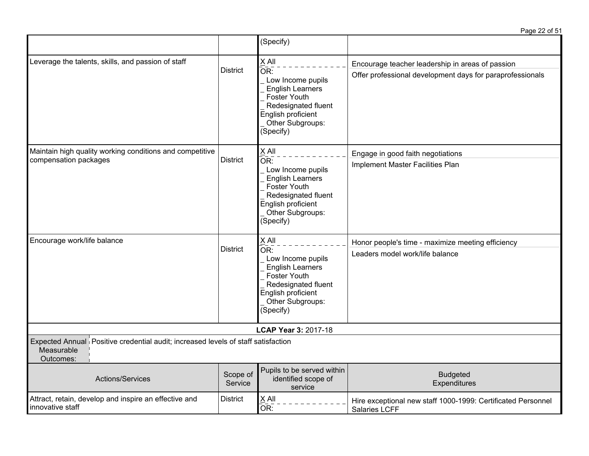|                                                                                                              |                     | (Specify)                                                                                                                                                                         |                                                                                                               |
|--------------------------------------------------------------------------------------------------------------|---------------------|-----------------------------------------------------------------------------------------------------------------------------------------------------------------------------------|---------------------------------------------------------------------------------------------------------------|
| Leverage the talents, skills, and passion of staff                                                           | <b>District</b>     | X All<br>OR:<br>Low Income pupils<br><b>English Learners</b><br>Foster Youth<br>Redesignated fluent<br>English proficient<br>Other Subgroups:<br>(Specify)                        | Encourage teacher leadership in areas of passion<br>Offer professional development days for paraprofessionals |
| Maintain high quality working conditions and competitive<br>compensation packages                            | <b>District</b>     | X All<br>OR:<br>Low Income pupils<br><b>English Learners</b><br><b>Foster Youth</b><br>Redesignated fluent<br>English proficient<br>Other Subgroups:<br>(Specify)                 | Engage in good faith negotiations<br>Implement Master Facilities Plan                                         |
| Encourage work/life balance                                                                                  | <b>District</b>     | X All<br>$\overline{\mathsf{OR}}$ :<br>Low Income pupils<br><b>English Learners</b><br>Foster Youth<br>Redesignated fluent<br>English proficient<br>Other Subgroups:<br>(Specify) | Honor people's time - maximize meeting efficiency<br>Leaders model work/life balance                          |
|                                                                                                              |                     | LCAP Year 3: 2017-18                                                                                                                                                              |                                                                                                               |
| Expected Annual Positive credential audit; increased levels of staff satisfaction<br>Measurable<br>Outcomes: |                     |                                                                                                                                                                                   |                                                                                                               |
| Actions/Services                                                                                             | Scope of<br>Service | Pupils to be served within<br>identified scope of<br>service                                                                                                                      | <b>Budgeted</b><br>Expenditures                                                                               |
| Attract, retain, develop and inspire an effective and<br>innovative staff                                    | <b>District</b>     | $\times$ All<br>OR:                                                                                                                                                               | Hire exceptional new staff 1000-1999: Certificated Personnel<br>Salaries LCFF                                 |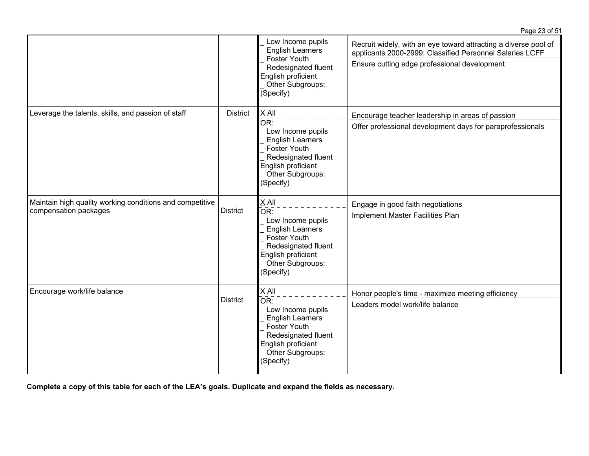|                                                                                   |                 | Low Income pupils<br><b>English Learners</b><br>Foster Youth<br>Redesignated fluent<br>English proficient<br>Other Subgroups:<br>(Specify)                 | Recruit widely, with an eye toward attracting a diverse pool of<br>applicants 2000-2999: Classified Personnel Salaries LCFF<br>Ensure cutting edge professional development |
|-----------------------------------------------------------------------------------|-----------------|------------------------------------------------------------------------------------------------------------------------------------------------------------|-----------------------------------------------------------------------------------------------------------------------------------------------------------------------------|
| Leverage the talents, skills, and passion of staff                                | <b>District</b> | X All<br>OR:<br>Low Income pupils<br><b>English Learners</b><br>Foster Youth<br>Redesignated fluent<br>English proficient<br>Other Subgroups:<br>(Specify) | Encourage teacher leadership in areas of passion<br>Offer professional development days for paraprofessionals                                                               |
| Maintain high quality working conditions and competitive<br>compensation packages | <b>District</b> | X All<br>OR:<br>Low Income pupils<br><b>English Learners</b><br>Foster Youth<br>Redesignated fluent<br>English proficient<br>Other Subgroups:<br>(Specify) | Engage in good faith negotiations<br>Implement Master Facilities Plan                                                                                                       |
| Encourage work/life balance                                                       | <b>District</b> | X All<br>OR:<br>Low Income pupils<br><b>English Learners</b><br>Foster Youth<br>Redesignated fluent<br>English proficient<br>Other Subgroups:<br>(Specify) | Honor people's time - maximize meeting efficiency<br>Leaders model work/life balance                                                                                        |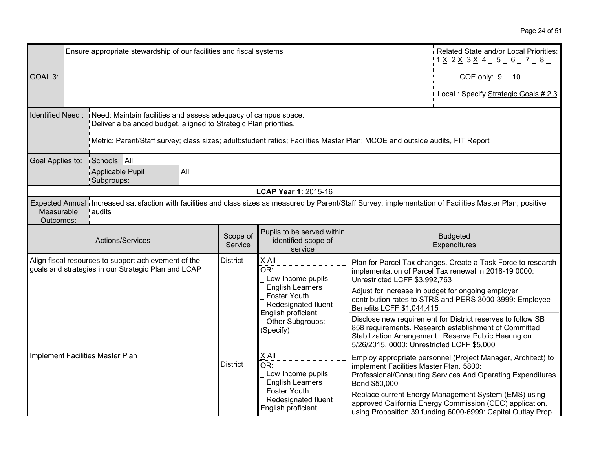| Ensure appropriate stewardship of our facilities and fiscal systems                                         |                                                                                                                                                                                                                                                                   |                                                                      |                                                                                     | Related State and/or Local Priorities:<br>$1 \times 2 \times 3 \times 4 = 5 = 6 = 7 = 8 = 1$                  |                                                                                                                                                                                 |  |  |
|-------------------------------------------------------------------------------------------------------------|-------------------------------------------------------------------------------------------------------------------------------------------------------------------------------------------------------------------------------------------------------------------|----------------------------------------------------------------------|-------------------------------------------------------------------------------------|---------------------------------------------------------------------------------------------------------------|---------------------------------------------------------------------------------------------------------------------------------------------------------------------------------|--|--|
| GOAL 3:                                                                                                     |                                                                                                                                                                                                                                                                   |                                                                      |                                                                                     |                                                                                                               | COE only: $9 - 10$                                                                                                                                                              |  |  |
|                                                                                                             |                                                                                                                                                                                                                                                                   |                                                                      |                                                                                     |                                                                                                               | Local: Specify Strategic Goals # 2,3                                                                                                                                            |  |  |
| Identified Need:                                                                                            | Need: Maintain facilities and assess adequacy of campus space.<br>Deliver a balanced budget, aligned to Strategic Plan priorities.<br>Metric: Parent/Staff survey; class sizes; adult:student ratios; Facilities Master Plan; MCOE and outside audits, FIT Report |                                                                      |                                                                                     |                                                                                                               |                                                                                                                                                                                 |  |  |
| Goal Applies to:                                                                                            | Schools: All<br>∣ All<br>Applicable Pupil<br>Subgroups:                                                                                                                                                                                                           |                                                                      |                                                                                     |                                                                                                               |                                                                                                                                                                                 |  |  |
|                                                                                                             |                                                                                                                                                                                                                                                                   |                                                                      | LCAP Year 1: 2015-16                                                                |                                                                                                               |                                                                                                                                                                                 |  |  |
| Measurable<br>Outcomes:                                                                                     | Expected Annual Increased satisfaction with facilities and class sizes as measured by Parent/Staff Survey; implementation of Facilities Master Plan; positive<br>audits                                                                                           |                                                                      |                                                                                     |                                                                                                               |                                                                                                                                                                                 |  |  |
|                                                                                                             | Actions/Services                                                                                                                                                                                                                                                  | Scope of<br>Service                                                  | Pupils to be served within<br>identified scope of<br>service                        |                                                                                                               | <b>Budgeted</b><br>Expenditures                                                                                                                                                 |  |  |
| Align fiscal resources to support achievement of the<br>goals and strategies in our Strategic Plan and LCAP |                                                                                                                                                                                                                                                                   | <b>District</b>                                                      | X All<br>OR:<br>Low Income pupils                                                   | Unrestricted LCFF \$3,992,763                                                                                 | Plan for Parcel Tax changes. Create a Task Force to research<br>implementation of Parcel Tax renewal in 2018-19 0000:                                                           |  |  |
|                                                                                                             | Foster Youth                                                                                                                                                                                                                                                      | <b>English Learners</b><br>Redesignated fluent<br>English proficient | Benefits LCFF \$1,044,415                                                           | Adjust for increase in budget for ongoing employer<br>contribution rates to STRS and PERS 3000-3999: Employee |                                                                                                                                                                                 |  |  |
|                                                                                                             |                                                                                                                                                                                                                                                                   |                                                                      | Other Subgroups:<br>(Specify)                                                       | 5/26/2015. 0000: Unrestricted LCFF \$5,000                                                                    | Disclose new requirement for District reserves to follow SB<br>858 requirements. Research establishment of Committed<br>Stabilization Arrangement. Reserve Public Hearing on    |  |  |
|                                                                                                             | Implement Facilities Master Plan<br><b>District</b>                                                                                                                                                                                                               |                                                                      | X All<br>$\overline{\mathsf{OR}}$ :<br>Low Income pupils<br><b>English Learners</b> | implement Facilities Master Plan. 5800:<br>Bond \$50,000                                                      | Employ appropriate personnel (Project Manager, Architect) to<br>Professional/Consulting Services And Operating Expenditures                                                     |  |  |
|                                                                                                             |                                                                                                                                                                                                                                                                   |                                                                      | Foster Youth<br>Redesignated fluent<br>English proficient                           |                                                                                                               | Replace current Energy Management System (EMS) using<br>approved California Energy Commission (CEC) application,<br>using Proposition 39 funding 6000-6999: Capital Outlay Prop |  |  |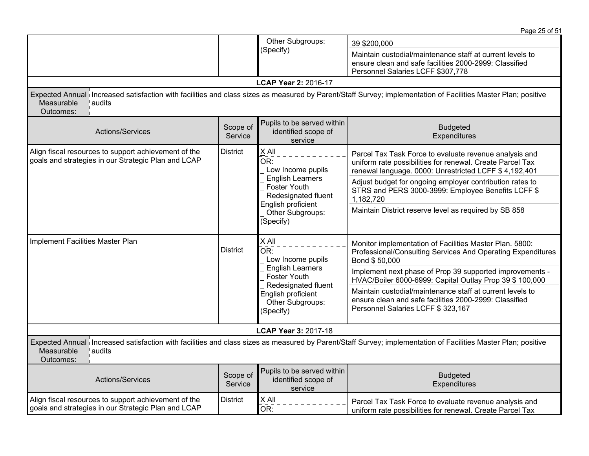|                                                                                                             |                     |                                                                                                                       | Page 25 of 51                                                                                                                                                                 |
|-------------------------------------------------------------------------------------------------------------|---------------------|-----------------------------------------------------------------------------------------------------------------------|-------------------------------------------------------------------------------------------------------------------------------------------------------------------------------|
|                                                                                                             |                     | Other Subgroups:<br>(Specify)                                                                                         | 39 \$200,000<br>Maintain custodial/maintenance staff at current levels to<br>ensure clean and safe facilities 2000-2999: Classified<br>Personnel Salaries LCFF \$307,778      |
|                                                                                                             |                     | LCAP Year 2: 2016-17                                                                                                  |                                                                                                                                                                               |
| Measurable<br>audits<br>Outcomes:                                                                           |                     |                                                                                                                       | Expected Annual Increased satisfaction with facilities and class sizes as measured by Parent/Staff Survey; implementation of Facilities Master Plan; positive                 |
| Actions/Services                                                                                            | Scope of<br>Service | Pupils to be served within<br>identified scope of<br>service                                                          | <b>Budgeted</b><br>Expenditures                                                                                                                                               |
| Align fiscal resources to support achievement of the<br>goals and strategies in our Strategic Plan and LCAP | <b>District</b>     | X All<br>$\overline{\mathsf{OR}}$ :<br>Low Income pupils                                                              | Parcel Tax Task Force to evaluate revenue analysis and<br>uniform rate possibilities for renewal. Create Parcel Tax<br>renewal language. 0000: Unrestricted LCFF \$ 4,192,401 |
|                                                                                                             |                     | <b>English Learners</b><br>Foster Youth<br>Redesignated fluent<br>English proficient<br>Other Subgroups:<br>(Specify) | Adjust budget for ongoing employer contribution rates to<br>STRS and PERS 3000-3999: Employee Benefits LCFF \$<br>1,182,720                                                   |
|                                                                                                             |                     |                                                                                                                       | Maintain District reserve level as required by SB 858                                                                                                                         |
| Implement Facilities Master Plan                                                                            | <b>District</b>     | $X$ All<br>OR:<br>Low Income pupils                                                                                   | Monitor implementation of Facilities Master Plan. 5800:<br>Professional/Consulting Services And Operating Expenditures<br>Bond \$50,000                                       |
|                                                                                                             |                     | <b>English Learners</b><br><b>Foster Youth</b><br>Redesignated fluent                                                 | Implement next phase of Prop 39 supported improvements -<br>HVAC/Boiler 6000-6999: Capital Outlay Prop 39 \$ 100,000                                                          |
|                                                                                                             |                     | English proficient<br>Other Subgroups:<br>(Specify)                                                                   | Maintain custodial/maintenance staff at current levels to<br>ensure clean and safe facilities 2000-2999: Classified<br>Personnel Salaries LCFF \$ 323,167                     |
|                                                                                                             |                     | LCAP Year 3: 2017-18                                                                                                  |                                                                                                                                                                               |
| Measurable<br>audits<br>Outcomes:                                                                           |                     |                                                                                                                       | Expected Annual Increased satisfaction with facilities and class sizes as measured by Parent/Staff Survey; implementation of Facilities Master Plan; positive                 |
| Actions/Services                                                                                            | Scope of<br>Service | Pupils to be served within<br>identified scope of<br>service                                                          | <b>Budgeted</b><br>Expenditures                                                                                                                                               |
| Align fiscal resources to support achievement of the<br>goals and strategies in our Strategic Plan and LCAP | <b>District</b>     | X All<br>OR:                                                                                                          | Parcel Tax Task Force to evaluate revenue analysis and<br>uniform rate possibilities for renewal. Create Parcel Tax                                                           |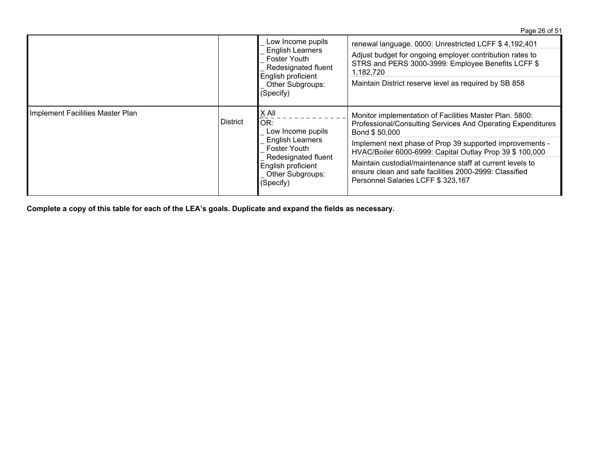|                                  |                                 | Low Income pupils<br><b>English Learners</b><br><b>Foster Youth</b><br>Redesignated fluent<br>English proficient<br>Other Subgroups:<br>(Specify) | renewal language. 0000: Unrestricted LCFF \$4,192,401<br>Adjust budget for ongoing employer contribution rates to<br>STRS and PERS 3000-3999: Employee Benefits LCFF \$<br>1,182,720<br>Maintain District reserve level as required by SB 858 |
|----------------------------------|---------------------------------|---------------------------------------------------------------------------------------------------------------------------------------------------|-----------------------------------------------------------------------------------------------------------------------------------------------------------------------------------------------------------------------------------------------|
| Implement Facilities Master Plan | X ail<br><b>District</b><br>OR: | Low Income pupils                                                                                                                                 | Monitor implementation of Facilities Master Plan. 5800:<br>Professional/Consulting Services And Operating Expenditures<br>Bond \$50,000                                                                                                       |
|                                  |                                 | <b>English Learners</b><br><b>Foster Youth</b><br>Redesignated fluent<br>English proficient<br>Other Subgroups:<br>(Specify)                      | Implement next phase of Prop 39 supported improvements -<br>HVAC/Boiler 6000-6999: Capital Outlay Prop 39 \$ 100,000                                                                                                                          |
|                                  |                                 |                                                                                                                                                   | Maintain custodial/maintenance staff at current levels to<br>ensure clean and safe facilities 2000-2999: Classified<br>Personnel Salaries LCFF \$ 323,167                                                                                     |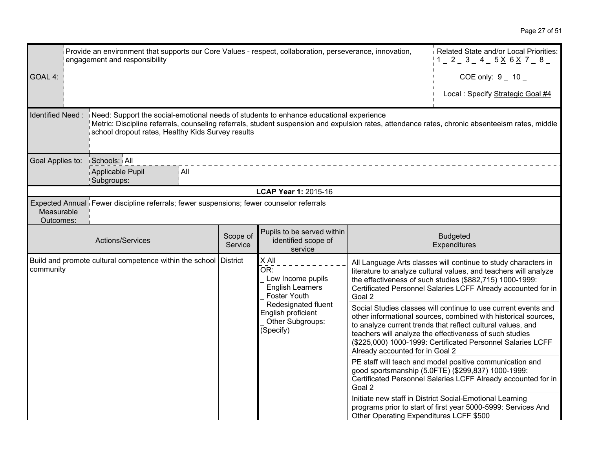|                                                                               | Related State and/or Local Priorities:<br>Provide an environment that supports our Core Values - respect, collaboration, perseverance, innovation,<br>engagement and responsibility                                                                                                                             |                     |                                                                                     |                                                                                                                                                                                 |                                                                                                                                                                                                                                                                                                                           |
|-------------------------------------------------------------------------------|-----------------------------------------------------------------------------------------------------------------------------------------------------------------------------------------------------------------------------------------------------------------------------------------------------------------|---------------------|-------------------------------------------------------------------------------------|---------------------------------------------------------------------------------------------------------------------------------------------------------------------------------|---------------------------------------------------------------------------------------------------------------------------------------------------------------------------------------------------------------------------------------------------------------------------------------------------------------------------|
| GOAL 4:                                                                       |                                                                                                                                                                                                                                                                                                                 |                     |                                                                                     |                                                                                                                                                                                 | COE only: $9 - 10$                                                                                                                                                                                                                                                                                                        |
|                                                                               |                                                                                                                                                                                                                                                                                                                 |                     |                                                                                     |                                                                                                                                                                                 | Local : Specify Strategic Goal #4                                                                                                                                                                                                                                                                                         |
|                                                                               | Identified Need: Need: Support the social-emotional needs of students to enhance educational experience<br>Metric: Discipline referrals, counseling referrals, student suspension and expulsion rates, attendance rates, chronic absenteeism rates, middle<br>school dropout rates, Healthy Kids Survey results |                     |                                                                                     |                                                                                                                                                                                 |                                                                                                                                                                                                                                                                                                                           |
| Goal Applies to:                                                              | Schools: All                                                                                                                                                                                                                                                                                                    |                     |                                                                                     |                                                                                                                                                                                 |                                                                                                                                                                                                                                                                                                                           |
|                                                                               | Applicable Pupil<br>i All<br>Subgroups:                                                                                                                                                                                                                                                                         |                     |                                                                                     |                                                                                                                                                                                 |                                                                                                                                                                                                                                                                                                                           |
|                                                                               |                                                                                                                                                                                                                                                                                                                 |                     | LCAP Year 1: 2015-16                                                                |                                                                                                                                                                                 |                                                                                                                                                                                                                                                                                                                           |
| Measurable<br>Outcomes:                                                       | Expected Annual Fewer discipline referrals; fewer suspensions; fewer counselor referrals                                                                                                                                                                                                                        |                     |                                                                                     |                                                                                                                                                                                 |                                                                                                                                                                                                                                                                                                                           |
|                                                                               | Actions/Services                                                                                                                                                                                                                                                                                                | Scope of<br>Service | Pupils to be served within<br>identified scope of<br>service                        |                                                                                                                                                                                 | <b>Budgeted</b><br>Expenditures                                                                                                                                                                                                                                                                                           |
| Build and promote cultural competence within the school District<br>community |                                                                                                                                                                                                                                                                                                                 |                     | X All<br>OR:<br>Low Income pupils<br><b>English Learners</b><br><b>Foster Youth</b> | Goal 2                                                                                                                                                                          | All Language Arts classes will continue to study characters in<br>literature to analyze cultural values, and teachers will analyze<br>the effectiveness of such studies (\$882,715) 1000-1999:<br>Certificated Personnel Salaries LCFF Already accounted for in                                                           |
|                                                                               |                                                                                                                                                                                                                                                                                                                 |                     | Redesignated fluent<br>English proficient<br>Other Subgroups:<br>(Specify)          | Already accounted for in Goal 2                                                                                                                                                 | Social Studies classes will continue to use current events and<br>other informational sources, combined with historical sources,<br>to analyze current trends that reflect cultural values, and<br>teachers will analyze the effectiveness of such studies<br>(\$225,000) 1000-1999: Certificated Personnel Salaries LCFF |
|                                                                               |                                                                                                                                                                                                                                                                                                                 |                     | Goal 2                                                                              | PE staff will teach and model positive communication and<br>good sportsmanship (5.0FTE) (\$299,837) 1000-1999:<br>Certificated Personnel Salaries LCFF Already accounted for in |                                                                                                                                                                                                                                                                                                                           |
|                                                                               |                                                                                                                                                                                                                                                                                                                 |                     |                                                                                     | Other Operating Expenditures LCFF \$500                                                                                                                                         | Initiate new staff in District Social-Emotional Learning<br>programs prior to start of first year 5000-5999: Services And                                                                                                                                                                                                 |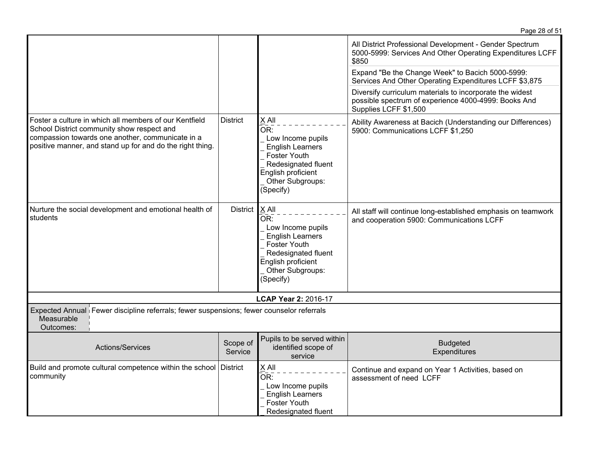|                                                                                                                                                                                                                       |                     |                                                                                                                                                                                          | Page 28 of 51                                                                                                                             |
|-----------------------------------------------------------------------------------------------------------------------------------------------------------------------------------------------------------------------|---------------------|------------------------------------------------------------------------------------------------------------------------------------------------------------------------------------------|-------------------------------------------------------------------------------------------------------------------------------------------|
|                                                                                                                                                                                                                       |                     |                                                                                                                                                                                          | All District Professional Development - Gender Spectrum<br>5000-5999: Services And Other Operating Expenditures LCFF<br>\$850             |
|                                                                                                                                                                                                                       |                     |                                                                                                                                                                                          | Expand "Be the Change Week" to Bacich 5000-5999:<br>Services And Other Operating Expenditures LCFF \$3,875                                |
|                                                                                                                                                                                                                       |                     |                                                                                                                                                                                          | Diversify curriculum materials to incorporate the widest<br>possible spectrum of experience 4000-4999: Books And<br>Supplies LCFF \$1,500 |
| Foster a culture in which all members of our Kentfield<br>School District community show respect and<br>compassion towards one another, communicate in a<br>positive manner, and stand up for and do the right thing. | <b>District</b>     | X All<br>$\overline{\mathsf{OR}}$ :<br>Low Income pupils<br><b>English Learners</b><br><b>Foster Youth</b><br>Redesignated fluent<br>English proficient<br>Other Subgroups:<br>(Specify) | Ability Awareness at Bacich (Understanding our Differences)<br>5900: Communications LCFF \$1,250                                          |
| Nurture the social development and emotional health of<br>students                                                                                                                                                    | District            | $X$ All<br>OR:<br>Low Income pupils<br><b>English Learners</b><br><b>Foster Youth</b><br>Redesignated fluent<br>English proficient<br>Other Subgroups:<br>(Specify)                      | All staff will continue long-established emphasis on teamwork<br>and cooperation 5900: Communications LCFF                                |
|                                                                                                                                                                                                                       |                     | <b>LCAP Year 2: 2016-17</b>                                                                                                                                                              |                                                                                                                                           |
| Expected Annual Fewer discipline referrals; fewer suspensions; fewer counselor referrals<br>Measurable<br>Outcomes:                                                                                                   |                     |                                                                                                                                                                                          |                                                                                                                                           |
| Actions/Services                                                                                                                                                                                                      | Scope of<br>Service | Pupils to be served within<br>identified scope of<br>service                                                                                                                             | <b>Budgeted</b><br>Expenditures                                                                                                           |
| Build and promote cultural competence within the school<br>community                                                                                                                                                  | District            | X All<br>OR:<br>Low Income pupils<br><b>English Learners</b><br><b>Foster Youth</b><br>Redesignated fluent                                                                               | Continue and expand on Year 1 Activities, based on<br>assessment of need LCFF                                                             |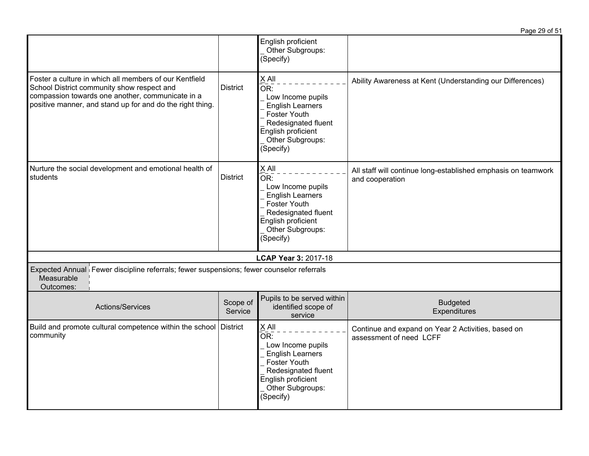|                                                                                                                                                                                                                       |                     |                                                                                                                                                                              | Page 29 of 51                                                                    |
|-----------------------------------------------------------------------------------------------------------------------------------------------------------------------------------------------------------------------|---------------------|------------------------------------------------------------------------------------------------------------------------------------------------------------------------------|----------------------------------------------------------------------------------|
|                                                                                                                                                                                                                       |                     | English proficient<br>Other Subgroups:<br>(Specify)                                                                                                                          |                                                                                  |
| Foster a culture in which all members of our Kentfield<br>School District community show respect and<br>compassion towards one another, communicate in a<br>positive manner, and stand up for and do the right thing. | <b>District</b>     | $X$ All<br>OR:<br>Low Income pupils<br><b>English Learners</b><br>Foster Youth<br>Redesignated fluent<br>English proficient<br>Other Subgroups:<br>(Specify)                 | Ability Awareness at Kent (Understanding our Differences)                        |
| Nurture the social development and emotional health of<br>students                                                                                                                                                    | <b>District</b>     | X All<br>$\bar{\mathsf{OR}}$ :<br>Low Income pupils<br><b>English Learners</b><br>Foster Youth<br>Redesignated fluent<br>English proficient<br>Other Subgroups:<br>(Specify) | All staff will continue long-established emphasis on teamwork<br>and cooperation |
|                                                                                                                                                                                                                       |                     | <b>LCAP Year 3: 2017-18</b>                                                                                                                                                  |                                                                                  |
| Expected Annual Fewer discipline referrals; fewer suspensions; fewer counselor referrals<br>Measurable<br>Outcomes:                                                                                                   |                     |                                                                                                                                                                              |                                                                                  |
| Actions/Services                                                                                                                                                                                                      | Scope of<br>Service | Pupils to be served within<br>identified scope of<br>service                                                                                                                 | <b>Budgeted</b><br>Expenditures                                                  |
| Build and promote cultural competence within the school District<br>community                                                                                                                                         |                     | X All<br>OR:<br>Low Income pupils<br><b>English Learners</b><br>Foster Youth<br>Redesignated fluent<br>English proficient<br>Other Subgroups:<br>(Specify)                   | Continue and expand on Year 2 Activities, based on<br>assessment of need LCFF    |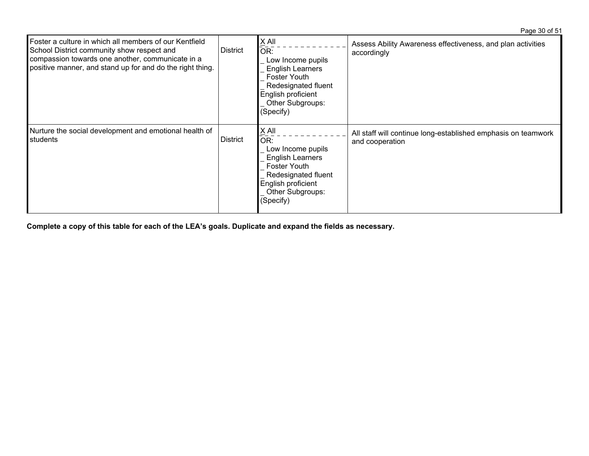Page 30 of 51

| Foster a culture in which all members of our Kentfield<br>School District community show respect and<br>compassion towards one another, communicate in a<br>positive manner, and stand up for and do the right thing. | <b>District</b> | X All<br>OR:<br>Low Income pupils<br><b>English Learners</b><br>Foster Youth<br>Redesignated fluent<br>English proficient<br>Other Subgroups:<br>(Specify) | Assess Ability Awareness effectiveness, and plan activities<br>accordingly       |
|-----------------------------------------------------------------------------------------------------------------------------------------------------------------------------------------------------------------------|-----------------|------------------------------------------------------------------------------------------------------------------------------------------------------------|----------------------------------------------------------------------------------|
| Nurture the social development and emotional health of<br>students                                                                                                                                                    | <b>District</b> | X All<br>OR:<br>Low Income pupils<br><b>English Learners</b><br>Foster Youth<br>Redesignated fluent<br>English proficient<br>Other Subgroups:<br>(Specify) | All staff will continue long-established emphasis on teamwork<br>and cooperation |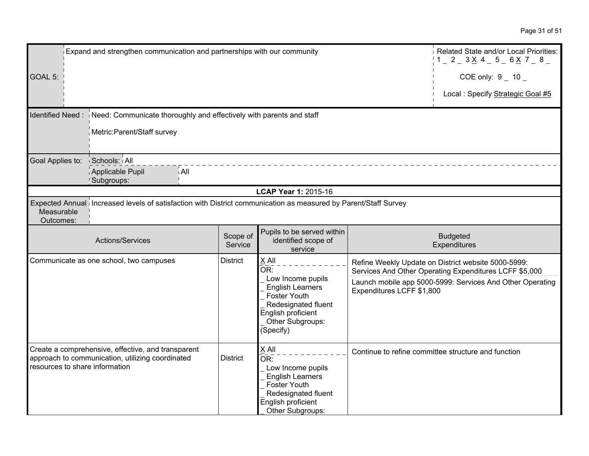| Expand and strengthen communication and partnerships with our community |                                                                                                                 |                     |                                                                                                                                                      |                           | Related State and/or Local Priorities:<br>$1 = 2 = 3 \times 4 = 5 = 6 \times 7 = 8 =$                         |
|-------------------------------------------------------------------------|-----------------------------------------------------------------------------------------------------------------|---------------------|------------------------------------------------------------------------------------------------------------------------------------------------------|---------------------------|---------------------------------------------------------------------------------------------------------------|
| GOAL 5:                                                                 |                                                                                                                 |                     |                                                                                                                                                      |                           | COE only: $9 - 10 -$                                                                                          |
|                                                                         |                                                                                                                 |                     |                                                                                                                                                      |                           | Local : Specify Strategic Goal #5                                                                             |
|                                                                         | Identified Need: Need: Communicate thoroughly and effectively with parents and staff                            |                     |                                                                                                                                                      |                           |                                                                                                               |
|                                                                         | Metric:Parent/Staff survey                                                                                      |                     |                                                                                                                                                      |                           |                                                                                                               |
| Goal Applies to:                                                        | Schools: All<br>Applicable Pupil<br>i All<br>Subgroups:                                                         |                     |                                                                                                                                                      |                           |                                                                                                               |
|                                                                         |                                                                                                                 |                     | <b>LCAP Year 1: 2015-16</b>                                                                                                                          |                           |                                                                                                               |
| Measurable<br>Outcomes:                                                 | Expected Annual Increased levels of satisfaction with District communication as measured by Parent/Staff Survey |                     |                                                                                                                                                      |                           |                                                                                                               |
|                                                                         | Actions/Services                                                                                                | Scope of<br>Service | Pupils to be served within<br>identified scope of<br>service                                                                                         |                           | <b>Budgeted</b><br>Expenditures                                                                               |
|                                                                         | Communicate as one school, two campuses                                                                         | <b>District</b>     | X All<br>$\overline{\mathsf{OR}}$ :                                                                                                                  |                           | Refine Weekly Update on District website 5000-5999:<br>Services And Other Operating Expenditures LCFF \$5,000 |
|                                                                         |                                                                                                                 |                     | Low Income pupils<br><b>English Learners</b><br><b>Foster Youth</b><br>Redesignated fluent<br>English proficient<br>Other Subgroups:<br>(Specify)    | Expenditures LCFF \$1,800 | Launch mobile app 5000-5999: Services And Other Operating                                                     |
| resources to share information                                          | Create a comprehensive, effective, and transparent<br>approach to communication, utilizing coordinated          | <b>District</b>     | X All<br>OR:<br>Low Income pupils<br><b>English Learners</b><br><b>Foster Youth</b><br>Redesignated fluent<br>English proficient<br>Other Subgroups: |                           | Continue to refine committee structure and function                                                           |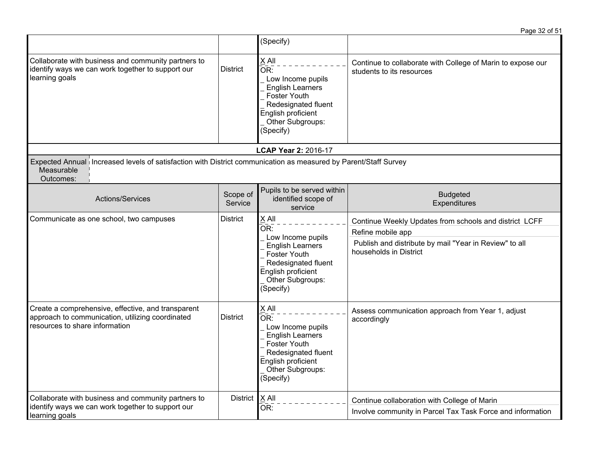|                                                                                                                                            |                     | (Specify)                                                                                                                                                                         |                                                                                                                                                                 |
|--------------------------------------------------------------------------------------------------------------------------------------------|---------------------|-----------------------------------------------------------------------------------------------------------------------------------------------------------------------------------|-----------------------------------------------------------------------------------------------------------------------------------------------------------------|
| Collaborate with business and community partners to<br>identify ways we can work together to support our<br>learning goals                 | <b>District</b>     | X All<br>$\overline{\mathsf{OR}}$ :<br>Low Income pupils<br><b>English Learners</b><br>Foster Youth<br>Redesignated fluent<br>English proficient<br>Other Subgroups:<br>(Specify) | Continue to collaborate with College of Marin to expose our<br>students to its resources                                                                        |
|                                                                                                                                            |                     | <b>LCAP Year 2: 2016-17</b>                                                                                                                                                       |                                                                                                                                                                 |
| Expected Annual Increased levels of satisfaction with District communication as measured by Parent/Staff Survey<br>Measurable<br>Outcomes: |                     |                                                                                                                                                                                   |                                                                                                                                                                 |
| Actions/Services                                                                                                                           | Scope of<br>Service | Pupils to be served within<br>identified scope of<br>service                                                                                                                      | <b>Budgeted</b><br>Expenditures                                                                                                                                 |
| Communicate as one school, two campuses                                                                                                    | <b>District</b>     | X All<br>OR:<br>Low Income pupils<br><b>English Learners</b><br>Foster Youth<br>Redesignated fluent<br>English proficient<br>Other Subgroups:<br>(Specify)                        | Continue Weekly Updates from schools and district LCFF<br>Refine mobile app<br>Publish and distribute by mail "Year in Review" to all<br>households in District |
| Create a comprehensive, effective, and transparent<br>approach to communication, utilizing coordinated<br>resources to share information   | <b>District</b>     | $X$ All<br>OR:<br>Low Income pupils<br><b>English Learners</b><br>Foster Youth<br>Redesignated fluent<br>English proficient<br>Other Subgroups:<br>(Specify)                      | Assess communication approach from Year 1, adjust<br>accordingly                                                                                                |
| Collaborate with business and community partners to<br>identify ways we can work together to support our<br>learning goals                 | <b>District</b>     | $X$ All<br>OR:                                                                                                                                                                    | Continue collaboration with College of Marin<br>Involve community in Parcel Tax Task Force and information                                                      |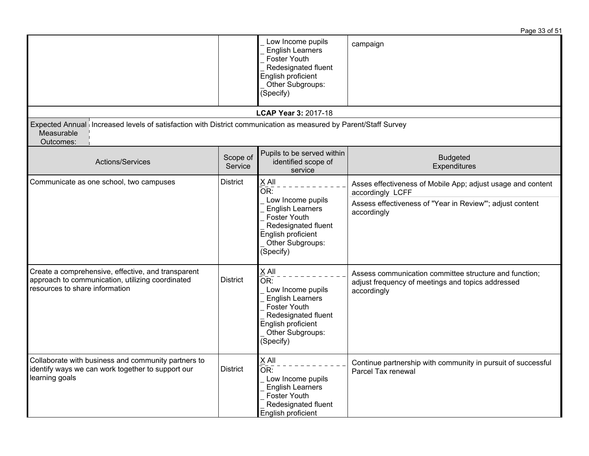|                                                                                                                                            |                     |                                                                                                                                                                     | Page 33 of 51                                                                                                                                               |
|--------------------------------------------------------------------------------------------------------------------------------------------|---------------------|---------------------------------------------------------------------------------------------------------------------------------------------------------------------|-------------------------------------------------------------------------------------------------------------------------------------------------------------|
|                                                                                                                                            |                     | Low Income pupils<br><b>English Learners</b><br><b>Foster Youth</b><br>Redesignated fluent<br>English proficient<br>Other Subgroups:<br>(Specify)                   | campaign                                                                                                                                                    |
|                                                                                                                                            |                     | LCAP Year 3: 2017-18                                                                                                                                                |                                                                                                                                                             |
| Expected Annual Increased levels of satisfaction with District communication as measured by Parent/Staff Survey<br>Measurable<br>Outcomes: |                     |                                                                                                                                                                     |                                                                                                                                                             |
| Actions/Services                                                                                                                           | Scope of<br>Service | Pupils to be served within<br>identified scope of<br>service                                                                                                        | <b>Budgeted</b><br>Expenditures                                                                                                                             |
| Communicate as one school, two campuses                                                                                                    | <b>District</b>     | $X$ All<br>OR:<br>Low Income pupils<br><b>English Learners</b><br><b>Foster Youth</b><br>Redesignated fluent<br>English proficient<br>Other Subgroups:<br>(Specify) | Asses effectiveness of Mobile App; adjust usage and content<br>accordingly LCFF<br>Assess effectiveness of "Year in Review"'; adjust content<br>accordingly |
| Create a comprehensive, effective, and transparent<br>approach to communication, utilizing coordinated<br>resources to share information   | <b>District</b>     | $X$ All<br>OR:<br>Low Income pupils<br><b>English Learners</b><br><b>Foster Youth</b><br>Redesignated fluent<br>English proficient<br>Other Subgroups:<br>(Specify) | Assess communication committee structure and function;<br>adjust frequency of meetings and topics addressed<br>accordingly                                  |
| Collaborate with business and community partners to<br>identify ways we can work together to support our<br>learning goals                 | <b>District</b>     | $X$ All<br>OR:<br>Low Income pupils<br><b>English Learners</b><br>Foster Youth<br>Redesignated fluent<br>English proficient                                         | Continue partnership with community in pursuit of successful<br>Parcel Tax renewal                                                                          |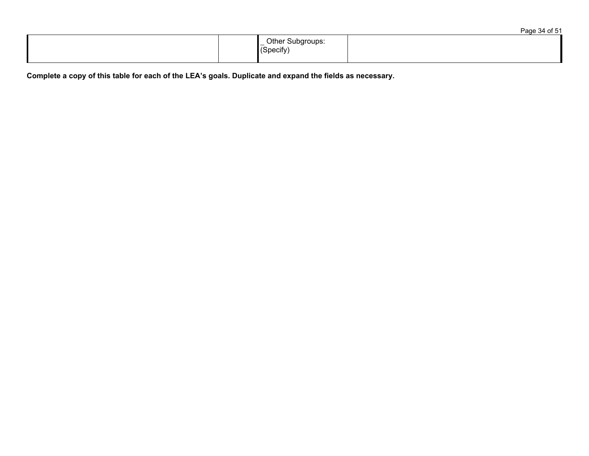|  |                                  | Page 34 of 51 |
|--|----------------------------------|---------------|
|  | _ Other Subgroups:<br>Ⅰ(Specify) |               |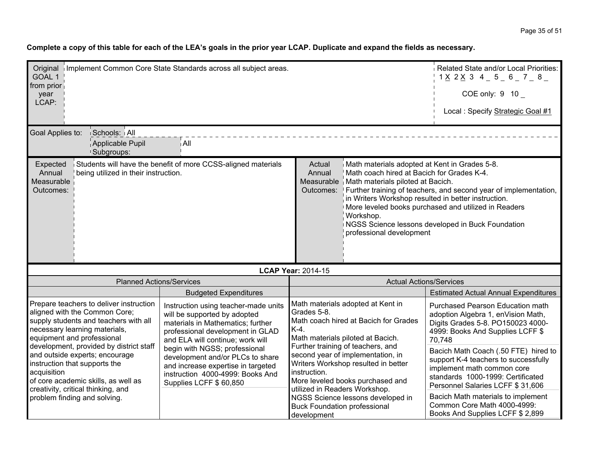| Original   Implement Common Core State Standards across all subject areas.<br>Related State and/or Local Priorities:<br>GOAL 1<br>$1 \times 2 \times 3$ 4 5 6 7 8<br>from prior                                             |                                                                                                                                                                                   |                                                                                                                                                                                                                                                                   |                                                                                                                                                                                         |  |
|-----------------------------------------------------------------------------------------------------------------------------------------------------------------------------------------------------------------------------|-----------------------------------------------------------------------------------------------------------------------------------------------------------------------------------|-------------------------------------------------------------------------------------------------------------------------------------------------------------------------------------------------------------------------------------------------------------------|-----------------------------------------------------------------------------------------------------------------------------------------------------------------------------------------|--|
| year<br>LCAP:                                                                                                                                                                                                               |                                                                                                                                                                                   |                                                                                                                                                                                                                                                                   | COE only: $9 10$                                                                                                                                                                        |  |
|                                                                                                                                                                                                                             |                                                                                                                                                                                   |                                                                                                                                                                                                                                                                   | Local : Specify Strategic Goal #1                                                                                                                                                       |  |
| Goal Applies to:<br>Schools: All                                                                                                                                                                                            |                                                                                                                                                                                   |                                                                                                                                                                                                                                                                   |                                                                                                                                                                                         |  |
| Applicable Pupil<br><sup>1</sup> Subgroups:                                                                                                                                                                                 | ∣ All                                                                                                                                                                             |                                                                                                                                                                                                                                                                   |                                                                                                                                                                                         |  |
| Expected<br>Annual<br>being utilized in their instruction.<br>Measurable<br>Outcomes:                                                                                                                                       | Students will have the benefit of more CCSS-aligned materials                                                                                                                     | Math materials adopted at Kent in Grades 5-8.<br>Actual<br>Annual<br>Math coach hired at Bacich for Grades K-4.<br>Measurable   Math materials piloted at Bacich.<br>in Writers Workshop resulted in better instruction.<br>Workshop.<br>professional development | Outcomes: Further training of teachers, and second year of implementation,<br>More leveled books purchased and utilized in Readers<br>NGSS Science lessons developed in Buck Foundation |  |
| <b>LCAP Year: 2014-15</b>                                                                                                                                                                                                   |                                                                                                                                                                                   |                                                                                                                                                                                                                                                                   |                                                                                                                                                                                         |  |
| <b>Planned Actions/Services</b>                                                                                                                                                                                             |                                                                                                                                                                                   | <b>Actual Actions/Services</b>                                                                                                                                                                                                                                    |                                                                                                                                                                                         |  |
|                                                                                                                                                                                                                             | <b>Budgeted Expenditures</b>                                                                                                                                                      |                                                                                                                                                                                                                                                                   | <b>Estimated Actual Annual Expenditures</b>                                                                                                                                             |  |
| Prepare teachers to deliver instruction<br>aligned with the Common Core;<br>supply students and teachers with all<br>necessary learning materials,<br>equipment and professional<br>development, provided by district staff | Instruction using teacher-made units<br>will be supported by adopted<br>materials in Mathematics; further<br>professional development in GLAD<br>and ELA will continue; work will | Math materials adopted at Kent in<br>Grades 5-8.<br>Math coach hired at Bacich for Grades<br>K-4.<br>Math materials piloted at Bacich.<br>Further training of teachers, and                                                                                       | Purchased Pearson Education math<br>adoption Algebra 1, enVision Math,<br>Digits Grades 5-8. PO150023 4000-<br>4999: Books And Supplies LCFF \$<br>70,748                               |  |
| and outside experts; encourage<br>instruction that supports the<br>acquisition<br>of core academic skills, as well as<br>creativity, critical thinking, and                                                                 | begin with NGSS; professional<br>development and/or PLCs to share<br>and increase expertise in targeted<br>instruction 4000-4999: Books And<br>Supplies LCFF \$60,850             | second year of implementation, in<br>Writers Workshop resulted in better<br>instruction.<br>More leveled books purchased and<br>utilized in Readers Workshop.                                                                                                     | Bacich Math Coach (.50 FTE) hired to<br>support K-4 teachers to successfully<br>implement math common core<br>standards 1000-1999: Certificated<br>Personnel Salaries LCFF \$ 31,606    |  |
| problem finding and solving.                                                                                                                                                                                                |                                                                                                                                                                                   | NGSS Science lessons developed in<br><b>Buck Foundation professional</b><br>development                                                                                                                                                                           | Bacich Math materials to implement<br>Common Core Math 4000-4999:<br>Books And Supplies LCFF \$ 2,899                                                                                   |  |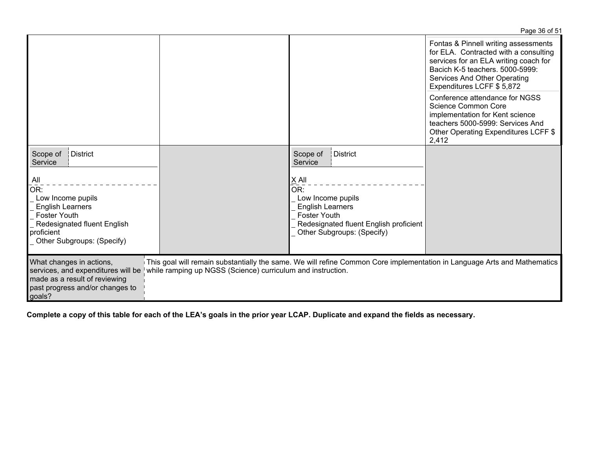|                                                                                                                                                              |                                                             |                                                                                                                                                               | $1$ ayd $0000$                                                                                                                                                                                                          |
|--------------------------------------------------------------------------------------------------------------------------------------------------------------|-------------------------------------------------------------|---------------------------------------------------------------------------------------------------------------------------------------------------------------|-------------------------------------------------------------------------------------------------------------------------------------------------------------------------------------------------------------------------|
|                                                                                                                                                              |                                                             |                                                                                                                                                               | Fontas & Pinnell writing assessments<br>for ELA. Contracted with a consulting<br>services for an ELA writing coach for<br>Bacich K-5 teachers, 5000-5999:<br>Services And Other Operating<br>Expenditures LCFF \$ 5,872 |
|                                                                                                                                                              |                                                             |                                                                                                                                                               | Conference attendance for NGSS<br>Science Common Core<br>implementation for Kent science<br>teachers 5000-5999: Services And<br>Other Operating Expenditures LCFF \$<br>2,412                                           |
| Scope of<br>District<br>Service                                                                                                                              |                                                             | Scope of<br><b>District</b><br>Service                                                                                                                        |                                                                                                                                                                                                                         |
| All<br>OR:<br>Low Income pupils<br><b>English Learners</b><br><b>Foster Youth</b><br>Redesignated fluent English<br>proficient<br>Other Subgroups: (Specify) |                                                             | $X$ All<br>OR:<br>Low Income pupils<br><b>English Learners</b><br><b>Foster Youth</b><br>Redesignated fluent English proficient<br>Other Subgroups: (Specify) |                                                                                                                                                                                                                         |
| What changes in actions,<br>services, and expenditures will be<br>made as a result of reviewing<br>past progress and/or changes to<br>goals?                 | while ramping up NGSS (Science) curriculum and instruction. | This goal will remain substantially the same. We will refine Common Core implementation in Language Arts and Mathematics                                      |                                                                                                                                                                                                                         |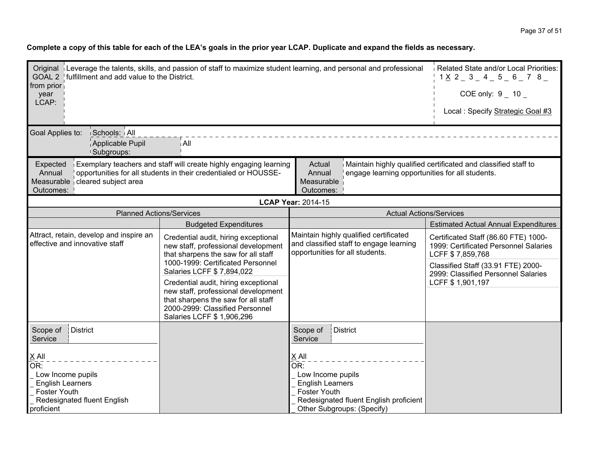| Original Leverage the talents, skills, and passion of staff to maximize student learning, and personal and professional<br>Related State and/or Local Priorities:<br>GOAL 2   fulfillment and add value to the District.<br>$1 \times 2 = 3 = 4 = 5 = 6 = 7$ 8 |                                                                                                                                                                                       |                                                                                                                      |                                                 |                                                                                                                                                                                |
|----------------------------------------------------------------------------------------------------------------------------------------------------------------------------------------------------------------------------------------------------------------|---------------------------------------------------------------------------------------------------------------------------------------------------------------------------------------|----------------------------------------------------------------------------------------------------------------------|-------------------------------------------------|--------------------------------------------------------------------------------------------------------------------------------------------------------------------------------|
| from prior<br>year<br>LCAP:                                                                                                                                                                                                                                    |                                                                                                                                                                                       |                                                                                                                      |                                                 | COE only: $9 - 10 -$                                                                                                                                                           |
|                                                                                                                                                                                                                                                                |                                                                                                                                                                                       |                                                                                                                      |                                                 | Local: Specify Strategic Goal #3                                                                                                                                               |
| Goal Applies to:<br>Schools: All<br>Applicable Pupil<br>!Subgroups:                                                                                                                                                                                            | ∫All                                                                                                                                                                                  |                                                                                                                      |                                                 |                                                                                                                                                                                |
| Expected<br>Annual<br>Measurable cleared subject area<br>Outcomes:                                                                                                                                                                                             | Exemplary teachers and staff will create highly engaging learning<br>opportunities for all students in their credentialed or HOUSSE-                                                  | Actual<br>Annual<br>Measurable<br>Outcomes:                                                                          | engage learning opportunities for all students. | Maintain highly qualified certificated and classified staff to                                                                                                                 |
|                                                                                                                                                                                                                                                                |                                                                                                                                                                                       | <b>LCAP Year: 2014-15</b>                                                                                            |                                                 |                                                                                                                                                                                |
| <b>Planned Actions/Services</b>                                                                                                                                                                                                                                |                                                                                                                                                                                       |                                                                                                                      | <b>Actual Actions/Services</b>                  |                                                                                                                                                                                |
|                                                                                                                                                                                                                                                                | <b>Budgeted Expenditures</b>                                                                                                                                                          |                                                                                                                      |                                                 | <b>Estimated Actual Annual Expenditures</b>                                                                                                                                    |
| Attract, retain, develop and inspire an<br>effective and innovative staff                                                                                                                                                                                      | Credential audit, hiring exceptional<br>new staff, professional development<br>that sharpens the saw for all staff<br>1000-1999: Certificated Personnel<br>Salaries LCFF \$ 7,894,022 | Maintain highly qualified certificated<br>and classified staff to engage learning<br>opportunities for all students. |                                                 | Certificated Staff (86.60 FTE) 1000-<br>1999: Certificated Personnel Salaries<br>LCFF \$7,859,768<br>Classified Staff (33.91 FTE) 2000-<br>2999: Classified Personnel Salaries |
|                                                                                                                                                                                                                                                                | Credential audit, hiring exceptional<br>new staff, professional development<br>that sharpens the saw for all staff<br>2000-2999: Classified Personnel<br>Salaries LCFF \$ 1,906,296   |                                                                                                                      |                                                 | LCFF \$1,901,197                                                                                                                                                               |
| District<br>Scope of<br>Service                                                                                                                                                                                                                                |                                                                                                                                                                                       | Scope of<br>Service                                                                                                  | <b>District</b>                                 |                                                                                                                                                                                |
| $X$ All<br>OR:<br>Low Income pupils<br><b>English Learners</b><br><b>Foster Youth</b><br>Redesignated fluent English                                                                                                                                           |                                                                                                                                                                                       | X All<br>$\overline{\mathsf{OR}!}$<br>Low Income pupils<br><b>English Learners</b><br><b>Foster Youth</b>            | Redesignated fluent English proficient          |                                                                                                                                                                                |
| proficient                                                                                                                                                                                                                                                     |                                                                                                                                                                                       |                                                                                                                      | Other Subgroups: (Specify)                      |                                                                                                                                                                                |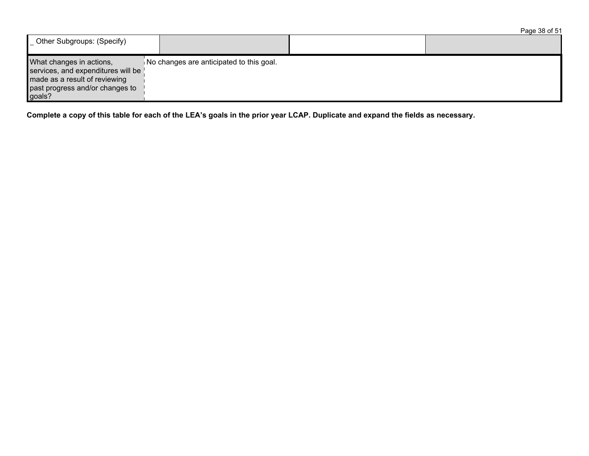|                                                                                                                                              |                                          | Page 38 of 51 |
|----------------------------------------------------------------------------------------------------------------------------------------------|------------------------------------------|---------------|
| Other Subgroups: (Specify)                                                                                                                   |                                          |               |
| What changes in actions,<br>services, and expenditures will be<br>made as a result of reviewing<br>past progress and/or changes to<br>goals? | No changes are anticipated to this goal. |               |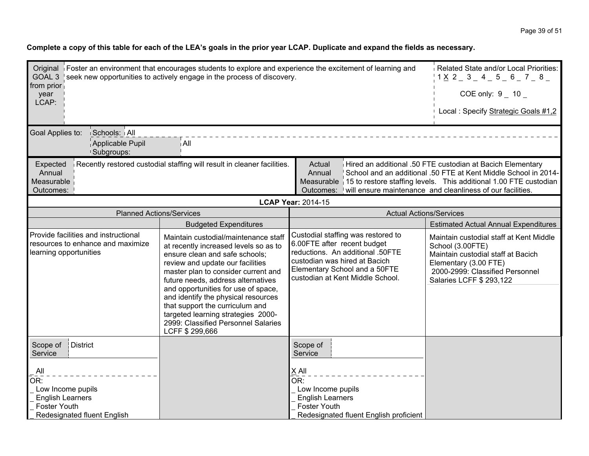| from prior<br>year                                                                                               | Original Foster an environment that encourages students to explore and experience the excitement of learning and<br>Related State and/or Local Priorities:<br>GOAL 3 seek new opportunities to actively engage in the process of discovery.<br>$1 \times 2 = 3 = 4 = 5 = 6 = 7 = 8 =$<br>COE only: $9 - 10 -$                                                                                                                                    |                                                                                                                                                                                                             |                                                                                                                                                                                           |  |  |
|------------------------------------------------------------------------------------------------------------------|--------------------------------------------------------------------------------------------------------------------------------------------------------------------------------------------------------------------------------------------------------------------------------------------------------------------------------------------------------------------------------------------------------------------------------------------------|-------------------------------------------------------------------------------------------------------------------------------------------------------------------------------------------------------------|-------------------------------------------------------------------------------------------------------------------------------------------------------------------------------------------|--|--|
| LCAP:                                                                                                            |                                                                                                                                                                                                                                                                                                                                                                                                                                                  |                                                                                                                                                                                                             | Local : Specify Strategic Goals #1,2                                                                                                                                                      |  |  |
| Goal Applies to:<br><b>Schools: All</b><br>Applicable Pupil<br><sup>1</sup> Subgroups:                           | ∫All                                                                                                                                                                                                                                                                                                                                                                                                                                             |                                                                                                                                                                                                             |                                                                                                                                                                                           |  |  |
| Expected<br>Annual<br>Measurable<br>Outcomes:                                                                    | Recently restored custodial staffing will result in cleaner facilities.<br>Hired an additional .50 FTE custodian at Bacich Elementary<br>Actual<br>Annual<br>School and an additional .50 FTE at Kent Middle School in 2014-<br>Measurable 15 to restore staffing levels. This additional 1.00 FTE custodian<br>will ensure maintenance and cleanliness of our facilities.<br>Outcomes:                                                          |                                                                                                                                                                                                             |                                                                                                                                                                                           |  |  |
|                                                                                                                  |                                                                                                                                                                                                                                                                                                                                                                                                                                                  | <b>LCAP Year: 2014-15</b>                                                                                                                                                                                   |                                                                                                                                                                                           |  |  |
| <b>Planned Actions/Services</b>                                                                                  |                                                                                                                                                                                                                                                                                                                                                                                                                                                  | <b>Actual Actions/Services</b>                                                                                                                                                                              |                                                                                                                                                                                           |  |  |
|                                                                                                                  | <b>Budgeted Expenditures</b>                                                                                                                                                                                                                                                                                                                                                                                                                     |                                                                                                                                                                                                             | <b>Estimated Actual Annual Expenditures</b>                                                                                                                                               |  |  |
| Provide facilities and instructional<br>resources to enhance and maximize<br>learning opportunities              | Maintain custodial/maintenance staff<br>at recently increased levels so as to<br>ensure clean and safe schools;<br>review and update our facilities<br>master plan to consider current and<br>future needs, address alternatives<br>and opportunities for use of space,<br>and identify the physical resources<br>that support the curriculum and<br>targeted learning strategies 2000-<br>2999: Classified Personnel Salaries<br>LCFF \$299,666 | Custodial staffing was restored to<br>6.00FTE after recent budget<br>reductions. An additional .50FTE<br>custodian was hired at Bacich<br>Elementary School and a 50FTE<br>custodian at Kent Middle School. | Maintain custodial staff at Kent Middle<br>School (3.00FTE)<br>Maintain custodial staff at Bacich<br>Elementary (3.00 FTE)<br>2000-2999: Classified Personnel<br>Salaries LCFF \$ 293,122 |  |  |
| District<br>Scope of<br>Service                                                                                  |                                                                                                                                                                                                                                                                                                                                                                                                                                                  | Scope of<br>Service                                                                                                                                                                                         |                                                                                                                                                                                           |  |  |
| All<br>OR:<br>Low Income pupils<br><b>English Learners</b><br><b>Foster Youth</b><br>Redesignated fluent English |                                                                                                                                                                                                                                                                                                                                                                                                                                                  | X All<br>$\overline{\mathsf{OR}!}$<br>Low Income pupils<br><b>English Learners</b><br>Foster Youth<br>Redesignated fluent English proficient                                                                |                                                                                                                                                                                           |  |  |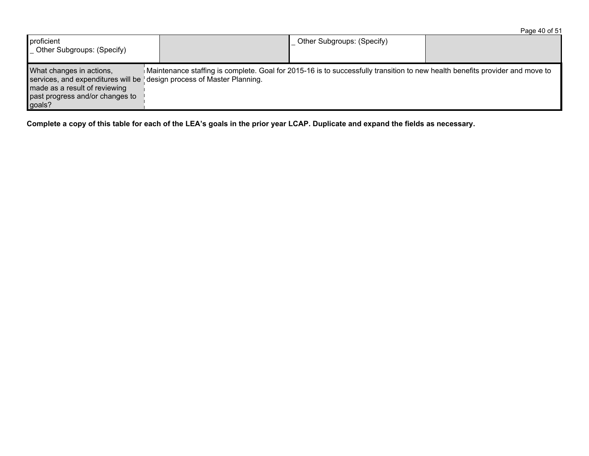| proficient<br>Other Subgroups: (Specify)                                                                                                                                        |                                                                                                                              | Other Subgroups: (Specify) |  |
|---------------------------------------------------------------------------------------------------------------------------------------------------------------------------------|------------------------------------------------------------------------------------------------------------------------------|----------------------------|--|
| What changes in actions,<br>services, and expenditures will be design process of Master Planning.<br>made as a result of reviewing<br>past progress and/or changes to<br>goals? | Maintenance staffing is complete. Goal for 2015-16 is to successfully transition to new health benefits provider and move to |                            |  |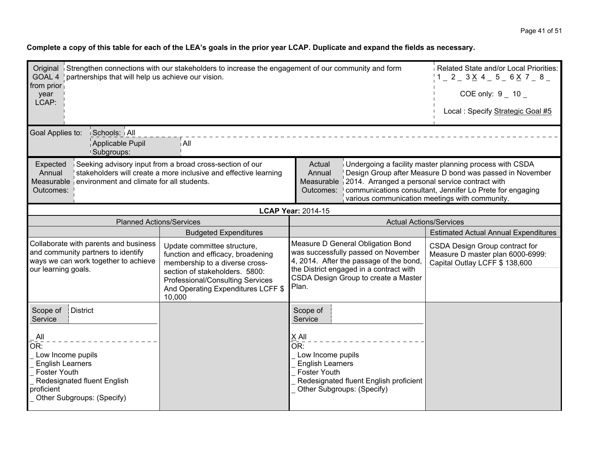| from prior<br>year<br>LCAP:                                                                                                                                                                                                                                                                                                                                                   | Related State and/or Local Priorities:<br>Original Strengthen connections with our stakeholders to increase the engagement of our community and form<br>GOAL 4 partnerships that will help us achieve our vision.<br>$1 = 2 = 3 \times 4 = 5 = 6 \times 7 = 8 =$<br>COE only: $9 - 10 -$ |                                                                                                                                                                                                                 |                                                                                                                                                                       |  |
|-------------------------------------------------------------------------------------------------------------------------------------------------------------------------------------------------------------------------------------------------------------------------------------------------------------------------------------------------------------------------------|------------------------------------------------------------------------------------------------------------------------------------------------------------------------------------------------------------------------------------------------------------------------------------------|-----------------------------------------------------------------------------------------------------------------------------------------------------------------------------------------------------------------|-----------------------------------------------------------------------------------------------------------------------------------------------------------------------|--|
|                                                                                                                                                                                                                                                                                                                                                                               |                                                                                                                                                                                                                                                                                          |                                                                                                                                                                                                                 | Local: Specify Strategic Goal #5                                                                                                                                      |  |
| Schools: All<br>Goal Applies to:<br>Applicable Pupil<br><sup>1</sup> Subgroups:                                                                                                                                                                                                                                                                                               | ∣ All                                                                                                                                                                                                                                                                                    |                                                                                                                                                                                                                 |                                                                                                                                                                       |  |
| Expected<br>Annual<br>Measurable environment and climate for all students.<br>Outcomes:                                                                                                                                                                                                                                                                                       | Seeking advisory input from a broad cross-section of our<br>stakeholders will create a more inclusive and effective learning                                                                                                                                                             | Actual<br>Annual<br>Measurable 2014. Arranged a personal service contract with<br>Outcomes:   communications consultant, Jennifer Lo Prete for engaging                                                         | Undergoing a facility master planning process with CSDA<br>Design Group after Measure D bond was passed in November<br>various communication meetings with community. |  |
|                                                                                                                                                                                                                                                                                                                                                                               |                                                                                                                                                                                                                                                                                          | <b>LCAP Year: 2014-15</b>                                                                                                                                                                                       |                                                                                                                                                                       |  |
| <b>Planned Actions/Services</b>                                                                                                                                                                                                                                                                                                                                               |                                                                                                                                                                                                                                                                                          | <b>Actual Actions/Services</b>                                                                                                                                                                                  |                                                                                                                                                                       |  |
|                                                                                                                                                                                                                                                                                                                                                                               | <b>Budgeted Expenditures</b>                                                                                                                                                                                                                                                             |                                                                                                                                                                                                                 | <b>Estimated Actual Annual Expenditures</b>                                                                                                                           |  |
| Collaborate with parents and business<br>Update committee structure,<br>and community partners to identify<br>function and efficacy, broadening<br>ways we can work together to achieve<br>membership to a diverse cross-<br>our learning goals.<br>section of stakeholders. 5800:<br><b>Professional/Consulting Services</b><br>And Operating Expenditures LCFF \$<br>10,000 |                                                                                                                                                                                                                                                                                          | Measure D General Obligation Bond<br>was successfully passed on November<br>4, 2014. After the passage of the bond,<br>the District engaged in a contract with<br>CSDA Design Group to create a Master<br>Plan. | CSDA Design Group contract for<br>Measure D master plan 6000-6999:<br>Capital Outlay LCFF \$ 138,600                                                                  |  |
| District<br>Scope of<br>Service                                                                                                                                                                                                                                                                                                                                               |                                                                                                                                                                                                                                                                                          | Scope of<br>Service                                                                                                                                                                                             |                                                                                                                                                                       |  |
| All<br>OR:<br>Low Income pupils<br><b>English Learners</b><br><b>Foster Youth</b><br>Redesignated fluent English<br>proficient<br>Other Subgroups: (Specify)                                                                                                                                                                                                                  |                                                                                                                                                                                                                                                                                          | X All<br>OR:<br>Low Income pupils<br><b>English Learners</b><br><b>Foster Youth</b><br>Redesignated fluent English proficient<br>Other Subgroups: (Specify)                                                     |                                                                                                                                                                       |  |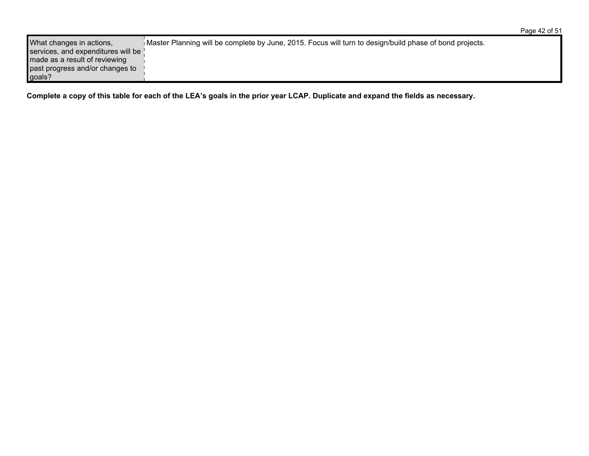| What changes in actions,           | Master Planning will be complete by June, 2015. Focus will turn to design/build phase of bond projects. |
|------------------------------------|---------------------------------------------------------------------------------------------------------|
| services, and expenditures will be |                                                                                                         |
| made as a result of reviewing      |                                                                                                         |
| past progress and/or changes to    |                                                                                                         |
| goals?                             |                                                                                                         |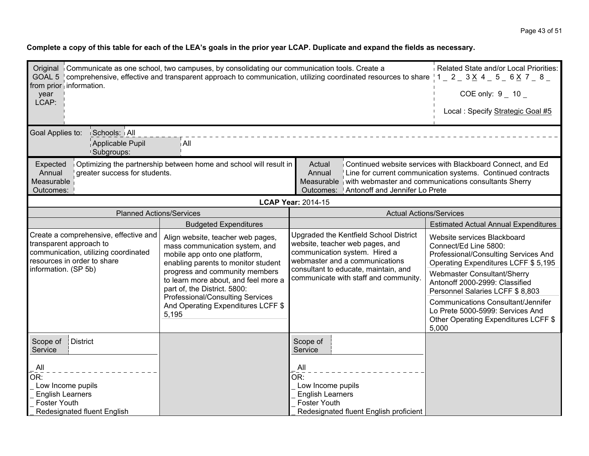| Original Communicate as one school, two campuses, by consolidating our communication tools. Create a<br>GOAL 5   comprehensive, effective and transparent approach to communication, utilizing coordinated resources to share $ 1 - 2 - 3 \times 4 - 5 - 6 \times 7 - 8 - 1$<br>from prior information.<br>year<br>LCAP:                                                                                              |                                                                                                                                                                                                                                                       |                                                                                                                                              | Related State and/or Local Priorities:<br>COE only: $9 - 10$                                                                        |
|-----------------------------------------------------------------------------------------------------------------------------------------------------------------------------------------------------------------------------------------------------------------------------------------------------------------------------------------------------------------------------------------------------------------------|-------------------------------------------------------------------------------------------------------------------------------------------------------------------------------------------------------------------------------------------------------|----------------------------------------------------------------------------------------------------------------------------------------------|-------------------------------------------------------------------------------------------------------------------------------------|
|                                                                                                                                                                                                                                                                                                                                                                                                                       |                                                                                                                                                                                                                                                       |                                                                                                                                              | Local: Specify Strategic Goal #5                                                                                                    |
| Goal Applies to:<br>Schools: All                                                                                                                                                                                                                                                                                                                                                                                      |                                                                                                                                                                                                                                                       |                                                                                                                                              |                                                                                                                                     |
| Applicable Pupil<br><sup>1</sup> Subgroups:                                                                                                                                                                                                                                                                                                                                                                           | ∣ All                                                                                                                                                                                                                                                 |                                                                                                                                              |                                                                                                                                     |
| Continued website services with Blackboard Connect, and Ed<br>Optimizing the partnership between home and school will result in<br>Expected<br>Actual<br>Annual<br>Line for current communication systems. Continued contracts<br>Annual<br>greater success for students.<br>Measurable<br>Measurable with webmaster and communications consultants Sherry<br>Outcomes:   Antonoff and Jennifer Lo Prete<br>Outcomes: |                                                                                                                                                                                                                                                       |                                                                                                                                              |                                                                                                                                     |
|                                                                                                                                                                                                                                                                                                                                                                                                                       |                                                                                                                                                                                                                                                       | <b>LCAP Year: 2014-15</b>                                                                                                                    |                                                                                                                                     |
| <b>Planned Actions/Services</b>                                                                                                                                                                                                                                                                                                                                                                                       |                                                                                                                                                                                                                                                       | <b>Actual Actions/Services</b>                                                                                                               |                                                                                                                                     |
|                                                                                                                                                                                                                                                                                                                                                                                                                       | <b>Budgeted Expenditures</b>                                                                                                                                                                                                                          |                                                                                                                                              | <b>Estimated Actual Annual Expenditures</b>                                                                                         |
| Create a comprehensive, effective and<br>transparent approach to<br>communication, utilizing coordinated<br>resources in order to share                                                                                                                                                                                                                                                                               | Align website, teacher web pages,<br>mass communication system, and<br>mobile app onto one platform,<br>enabling parents to monitor student<br>progress and community members<br>to learn more about, and feel more a<br>part of, the District. 5800: | Upgraded the Kentfield School District<br>website, teacher web pages, and<br>communication system. Hired a<br>webmaster and a communications | Website services Blackboard<br>Connect/Ed Line 5800:<br>Professional/Consulting Services And<br>Operating Expenditures LCFF \$5,195 |
| information. (SP 5b)                                                                                                                                                                                                                                                                                                                                                                                                  |                                                                                                                                                                                                                                                       | consultant to educate, maintain, and<br>communicate with staff and community.                                                                | Webmaster Consultant/Sherry<br>Antonoff 2000-2999: Classified<br>Personnel Salaries LCFF \$ 8,803                                   |
|                                                                                                                                                                                                                                                                                                                                                                                                                       | Professional/Consulting Services<br>And Operating Expenditures LCFF \$<br>5,195                                                                                                                                                                       |                                                                                                                                              | <b>Communications Consultant/Jennifer</b><br>Lo Prete 5000-5999: Services And<br>Other Operating Expenditures LCFF \$<br>5,000      |
| District<br>Scope of<br>Service                                                                                                                                                                                                                                                                                                                                                                                       |                                                                                                                                                                                                                                                       | Scope of<br>Service                                                                                                                          |                                                                                                                                     |
| All<br>OR:<br>Low Income pupils<br><b>English Learners</b>                                                                                                                                                                                                                                                                                                                                                            |                                                                                                                                                                                                                                                       | All<br>OR:<br>Low Income pupils<br><b>English Learners</b>                                                                                   |                                                                                                                                     |
| <b>Foster Youth</b><br><b>Redesignated fluent English</b>                                                                                                                                                                                                                                                                                                                                                             |                                                                                                                                                                                                                                                       | <b>Foster Youth</b><br>Redesignated fluent English proficient                                                                                |                                                                                                                                     |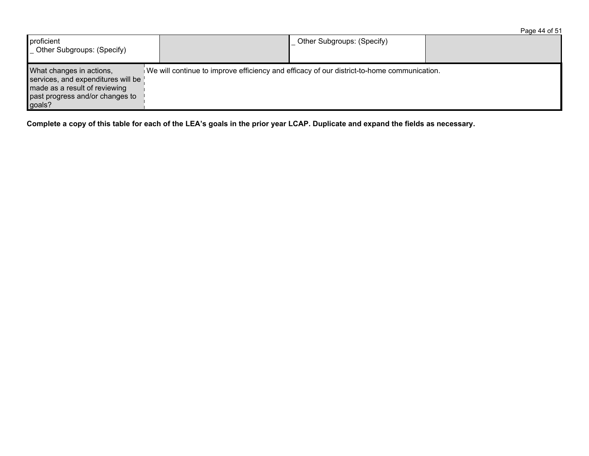| Other Subgroups: (Specify)<br>proficient<br>_ Other Subgroups: (Specify)                                                                     |  |                                                                                            |  |
|----------------------------------------------------------------------------------------------------------------------------------------------|--|--------------------------------------------------------------------------------------------|--|
| What changes in actions,<br>services, and expenditures will be<br>made as a result of reviewing<br>past progress and/or changes to<br>goals? |  | We will continue to improve efficiency and efficacy of our district-to-home communication. |  |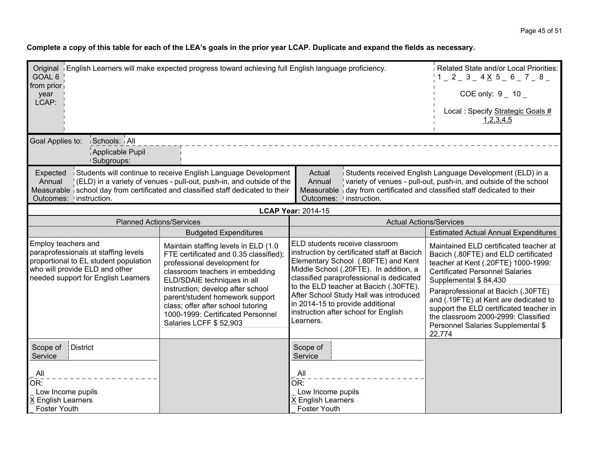| Original English Learners will make expected progress toward achieving full English language proficiency.<br>GOAL 6<br>from prior<br>year                                                                                                                                                                                                                                                                                                                                                                                                   |                                                                                                                                                                                                                                                                                                                                                         | Related State and/or Local Priorities:<br>$1 = 2 = 3 = 4 \times 5 = 6 = 7 = 8 =$<br>COE only: $9 - 10 -$                                                                                                   |                                |                                                                                                                                                                                                                |
|---------------------------------------------------------------------------------------------------------------------------------------------------------------------------------------------------------------------------------------------------------------------------------------------------------------------------------------------------------------------------------------------------------------------------------------------------------------------------------------------------------------------------------------------|---------------------------------------------------------------------------------------------------------------------------------------------------------------------------------------------------------------------------------------------------------------------------------------------------------------------------------------------------------|------------------------------------------------------------------------------------------------------------------------------------------------------------------------------------------------------------|--------------------------------|----------------------------------------------------------------------------------------------------------------------------------------------------------------------------------------------------------------|
| LCAP:                                                                                                                                                                                                                                                                                                                                                                                                                                                                                                                                       |                                                                                                                                                                                                                                                                                                                                                         |                                                                                                                                                                                                            |                                | Local : Specify Strategic Goals #<br>1,2,3,4,5                                                                                                                                                                 |
| Schools: All<br>Goal Applies to:<br>Applicable Pupil<br><b>Subgroups:</b>                                                                                                                                                                                                                                                                                                                                                                                                                                                                   |                                                                                                                                                                                                                                                                                                                                                         |                                                                                                                                                                                                            |                                |                                                                                                                                                                                                                |
| Students will continue to receive English Language Development<br>Actual<br>Students received English Language Development (ELD) in a<br>Expected<br>(ELD) in a variety of venues - pull-out, push-in, and outside of the<br>Annual<br>variety of venues - pull-out, push-in, and outside of the school<br>Annual<br>Measurable school day from certificated and classified staff dedicated to their<br>day from certificated and classified staff dedicated to their<br>Measurable<br>Outcomes: linstruction.<br>instruction.<br>Outcomes: |                                                                                                                                                                                                                                                                                                                                                         |                                                                                                                                                                                                            |                                |                                                                                                                                                                                                                |
|                                                                                                                                                                                                                                                                                                                                                                                                                                                                                                                                             |                                                                                                                                                                                                                                                                                                                                                         | <b>LCAP Year: 2014-15</b>                                                                                                                                                                                  |                                |                                                                                                                                                                                                                |
|                                                                                                                                                                                                                                                                                                                                                                                                                                                                                                                                             | <b>Planned Actions/Services</b>                                                                                                                                                                                                                                                                                                                         |                                                                                                                                                                                                            | <b>Actual Actions/Services</b> |                                                                                                                                                                                                                |
|                                                                                                                                                                                                                                                                                                                                                                                                                                                                                                                                             | <b>Budgeted Expenditures</b>                                                                                                                                                                                                                                                                                                                            |                                                                                                                                                                                                            |                                | <b>Estimated Actual Annual Expenditures</b>                                                                                                                                                                    |
| Employ teachers and<br>paraprofessionals at staffing levels<br>proportional to EL student population<br>who will provide ELD and other<br>needed support for English Learners                                                                                                                                                                                                                                                                                                                                                               | Maintain staffing levels in ELD (1.0)<br>FTE certificated and 0.35 classified);<br>professional development for<br>classroom teachers in embedding<br>ELD/SDAIE techniques in all                                                                                                                                                                       | ELD students receive classroom<br>instruction by certificated staff at Bacich<br>Elementary School (.80FTE) and Kent<br>Middle School (.20FTE). In addition, a<br>classified paraprofessional is dedicated |                                | Maintained ELD certificated teacher at<br>Bacich (.80FTE) and ELD certificated<br>teacher at Kent (.20FTE) 1000-1999:<br><b>Certificated Personnel Salaries</b><br>Supplemental \$84,430                       |
|                                                                                                                                                                                                                                                                                                                                                                                                                                                                                                                                             | to the ELD teacher at Bacich (.30FTE).<br>instruction; develop after school<br>After School Study Hall was introduced<br>parent/student homework support<br>in 2014-15 to provide additional<br>class; offer after school tutoring<br>instruction after school for English<br>1000-1999: Certificated Personnel<br>Learners.<br>Salaries LCFF \$ 52,903 |                                                                                                                                                                                                            |                                | Paraprofessional at Bacich (.30FTE)<br>and (.19FTE) at Kent are dedicated to<br>support the ELD certificated teacher in<br>the classroom 2000-2999: Classified<br>Personnel Salaries Supplemental \$<br>22,774 |
| District<br>Scope of<br>Service                                                                                                                                                                                                                                                                                                                                                                                                                                                                                                             |                                                                                                                                                                                                                                                                                                                                                         | Scope of<br>Service                                                                                                                                                                                        |                                |                                                                                                                                                                                                                |
| All<br>OR:<br>Low Income pupils<br>X English Learners<br>Foster Youth                                                                                                                                                                                                                                                                                                                                                                                                                                                                       |                                                                                                                                                                                                                                                                                                                                                         | All<br>OR:<br>Low Income pupils<br>X English Learners<br><b>Foster Youth</b>                                                                                                                               |                                |                                                                                                                                                                                                                |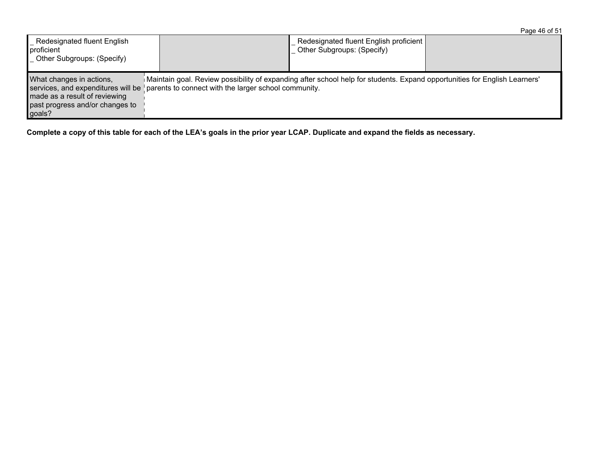|                                                                                                                                              |                                                                                                                                                                                         |                                                                      | Page 46 of 51 |
|----------------------------------------------------------------------------------------------------------------------------------------------|-----------------------------------------------------------------------------------------------------------------------------------------------------------------------------------------|----------------------------------------------------------------------|---------------|
| Redesignated fluent English<br>proficient<br>_ Other Subgroups: (Specify)                                                                    |                                                                                                                                                                                         | Redesignated fluent English proficient<br>Other Subgroups: (Specify) |               |
| What changes in actions,<br>services, and expenditures will be<br>made as a result of reviewing<br>past progress and/or changes to<br>goals? | Maintain goal. Review possibility of expanding after school help for students. Expand opportunities for English Learners'<br>$\mu$ parents to connect with the larger school community. |                                                                      |               |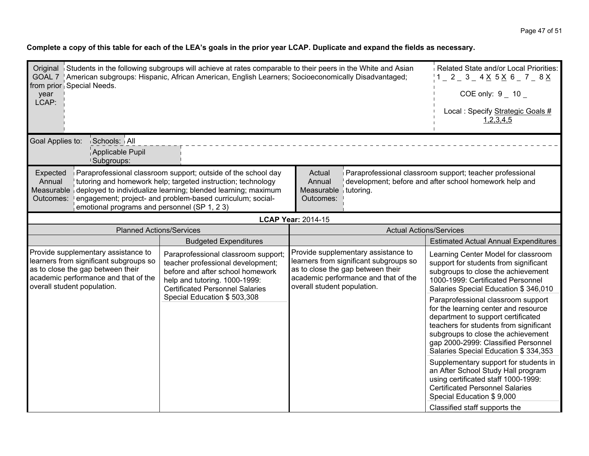| Original Students in the following subgroups will achieve at rates comparable to their peers in the White and Asian<br>GOAL 7   American subgroups: Hispanic, African American, English Learners; Socioeconomically Disadvantaged;<br>from prior Special Needs.<br>year<br>LCAP:                                                                                                                                                                                                                                                                        |                                                                                                                                                                                         | Related State and/or Local Priorities:<br>$1 - 2 - 3 - 4 \times 5 \times 6 - 7 - 8 \times$<br>COE only: $9 - 10$<br>Local: Specify Strategic Goals #<br>1,2,3,4,5 |                                                                                                                                                                                                                                                                                 |                                                                                                                                                                                                                            |
|---------------------------------------------------------------------------------------------------------------------------------------------------------------------------------------------------------------------------------------------------------------------------------------------------------------------------------------------------------------------------------------------------------------------------------------------------------------------------------------------------------------------------------------------------------|-----------------------------------------------------------------------------------------------------------------------------------------------------------------------------------------|-------------------------------------------------------------------------------------------------------------------------------------------------------------------|---------------------------------------------------------------------------------------------------------------------------------------------------------------------------------------------------------------------------------------------------------------------------------|----------------------------------------------------------------------------------------------------------------------------------------------------------------------------------------------------------------------------|
| Goal Applies to:<br>Schools: All<br>Applicable Pupil<br>Subgroups:                                                                                                                                                                                                                                                                                                                                                                                                                                                                                      |                                                                                                                                                                                         |                                                                                                                                                                   |                                                                                                                                                                                                                                                                                 |                                                                                                                                                                                                                            |
| Paraprofessional classroom support; outside of the school day<br>Paraprofessional classroom support; teacher professional<br>Expected<br>Actual<br>Annual<br>development; before and after school homework help and<br>Annual<br>tutoring and homework help; targeted instruction; technology<br>Measurable deployed to individualize learning; blended learning; maximum<br>Measurable $\frac{1}{2}$ tutoring.<br>engagement; project- and problem-based curriculum; social-<br>Outcomes:<br>Outcomes:<br>emotional programs and personnel (SP 1, 2 3) |                                                                                                                                                                                         |                                                                                                                                                                   |                                                                                                                                                                                                                                                                                 |                                                                                                                                                                                                                            |
|                                                                                                                                                                                                                                                                                                                                                                                                                                                                                                                                                         |                                                                                                                                                                                         | <b>LCAP Year: 2014-15</b>                                                                                                                                         |                                                                                                                                                                                                                                                                                 |                                                                                                                                                                                                                            |
| <b>Planned Actions/Services</b>                                                                                                                                                                                                                                                                                                                                                                                                                                                                                                                         |                                                                                                                                                                                         | <b>Actual Actions/Services</b>                                                                                                                                    |                                                                                                                                                                                                                                                                                 |                                                                                                                                                                                                                            |
|                                                                                                                                                                                                                                                                                                                                                                                                                                                                                                                                                         | <b>Budgeted Expenditures</b>                                                                                                                                                            |                                                                                                                                                                   |                                                                                                                                                                                                                                                                                 | <b>Estimated Actual Annual Expenditures</b>                                                                                                                                                                                |
| Provide supplementary assistance to<br>learners from significant subgroups so<br>as to close the gap between their<br>academic performance and that of the<br>overall student population.                                                                                                                                                                                                                                                                                                                                                               | Paraprofessional classroom support;<br>teacher professional development;<br>before and after school homework<br>help and tutoring. 1000-1999:<br><b>Certificated Personnel Salaries</b> | overall student population.                                                                                                                                       | Provide supplementary assistance to<br>learners from significant subgroups so<br>as to close the gap between their<br>academic performance and that of the                                                                                                                      | Learning Center Model for classroom<br>support for students from significant<br>subgroups to close the achievement<br>1000-1999: Certificated Personnel<br>Salaries Special Education \$346,010                            |
|                                                                                                                                                                                                                                                                                                                                                                                                                                                                                                                                                         | Special Education \$503,308                                                                                                                                                             |                                                                                                                                                                   | Paraprofessional classroom support<br>for the learning center and resource<br>department to support certificated<br>teachers for students from significant<br>subgroups to close the achievement<br>gap 2000-2999: Classified Personnel<br>Salaries Special Education \$334,353 |                                                                                                                                                                                                                            |
|                                                                                                                                                                                                                                                                                                                                                                                                                                                                                                                                                         |                                                                                                                                                                                         |                                                                                                                                                                   |                                                                                                                                                                                                                                                                                 | Supplementary support for students in<br>an After School Study Hall program<br>using certificated staff 1000-1999:<br><b>Certificated Personnel Salaries</b><br>Special Education \$9,000<br>Classified staff supports the |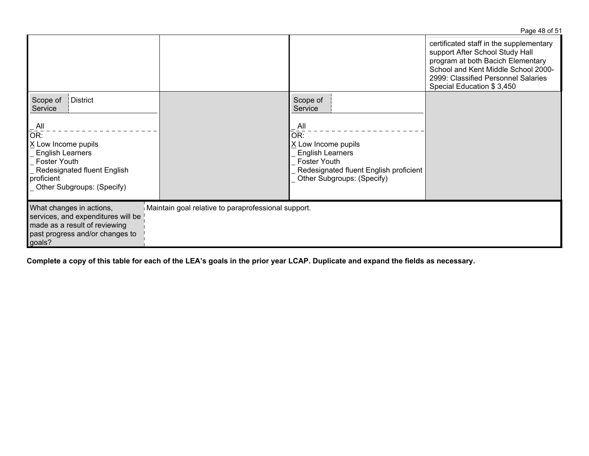|                                                                                                                                                                |                                                     |                                                                                                                                                               | Page 48 of 51                                                                                                                                                                                                              |
|----------------------------------------------------------------------------------------------------------------------------------------------------------------|-----------------------------------------------------|---------------------------------------------------------------------------------------------------------------------------------------------------------------|----------------------------------------------------------------------------------------------------------------------------------------------------------------------------------------------------------------------------|
|                                                                                                                                                                |                                                     |                                                                                                                                                               | certificated staff in the supplementary<br>support After School Study Hall<br>program at both Bacich Elementary<br>School and Kent Middle School 2000-<br>2999: Classified Personnel Salaries<br>Special Education \$3,450 |
| Scope of<br>District<br>Service                                                                                                                                |                                                     | Scope of<br>Service                                                                                                                                           |                                                                                                                                                                                                                            |
| All<br>OR:<br>X Low Income pupils<br><b>English Learners</b><br><b>Foster Youth</b><br>Redesignated fluent English<br>proficient<br>Other Subgroups: (Specify) |                                                     | All<br>OR:<br>$X$ Low Income pupils<br><b>English Learners</b><br><b>Foster Youth</b><br>Redesignated fluent English proficient<br>Other Subgroups: (Specify) |                                                                                                                                                                                                                            |
| What changes in actions,<br>services, and expenditures will be<br>made as a result of reviewing<br>past progress and/or changes to<br>goals?                   | Maintain goal relative to paraprofessional support. |                                                                                                                                                               |                                                                                                                                                                                                                            |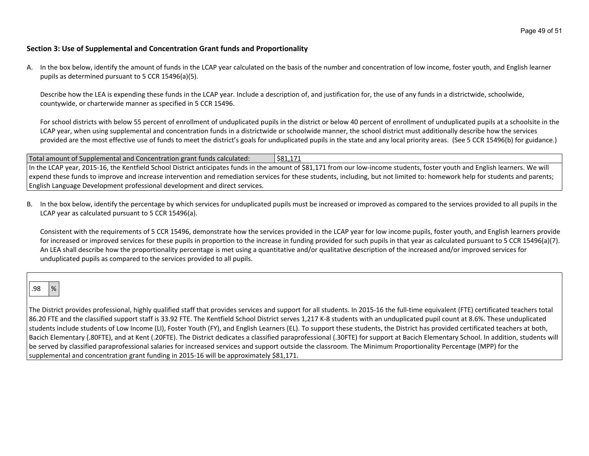#### **Section 3: Use of Supplemental and Concentration Grant funds and Proportionality**

A. In the box below, identify the amount of funds in the LCAP year calculated on the basis of the number and concentration of low income, foster youth, and English learner pupils as determined pursuant to 5 CCR 15496(a)(5).

Describe how the LEA is expending these funds in the LCAP year. Include a description of, and justification for, the use of any funds in a districtwide, schoolwide, countywide, or charterwide manner as specified in 5 CCR 15496.

For school districts with below 55 percent of enrollment of unduplicated pupils in the district or below 40 percent of enrollment of unduplicated pupils at a schoolsite in the LCAP year, when using supplemental and concentration funds in a districtwide or schoolwide manner, the school district must additionally describe how the services provided are the most effective use of funds to meet the district's goals for unduplicated pupils in the state and any local priority areas. (See 5 CCR 15496(b) for guidance.)

| Total amount of Supplemental and Concentration grant funds calculated:                                                                                                      | 581,171 '                                                                                                                                                                     |  |
|-----------------------------------------------------------------------------------------------------------------------------------------------------------------------------|-------------------------------------------------------------------------------------------------------------------------------------------------------------------------------|--|
|                                                                                                                                                                             | In the LCAP year, 2015-16, the Kentfield School District anticipates funds in the amount of \$81,171 from our low-income students, foster youth and English learners. We will |  |
| expend these funds to improve and increase intervention and remediation services for these students, including, but not limited to: homework help for students and parents; |                                                                                                                                                                               |  |
| English Language Development professional development and direct services.                                                                                                  |                                                                                                                                                                               |  |

B. In the box below, identify the percentage by which services for unduplicated pupils must be increased or improved as compared to the services provided to all pupils in the LCAP year as calculated pursuant to 5 CCR 15496(a).

Consistent with the requirements of 5 CCR 15496, demonstrate how the services provided in the LCAP year for low income pupils, foster youth, and English learners provide for increased or improved services for these pupils in proportion to the increase in funding provided for such pupils in that year as calculated pursuant to 5 CCR 15496(a)(7). An LEA shall describe how the proportionality percentage is met using a quantitative and/or qualitative description of the increased and/or improved services for unduplicated pupils as compared to the services provided to all pupils.

# .98 %

The District provides professional, highly qualified staff that provides services and support for all students. In 2015-16 the full-time equivalent (FTE) certificated teachers total 86.20 FTE and the classified support staff is 33.92 FTE. The Kentfield School District serves 1,217 K-8 students with an unduplicated pupil count at 8.6%. These unduplicated students include students of Low Income (LI), Foster Youth (FY), and English Learners (EL). To support these students, the District has provided certificated teachers at both, Bacich Elementary (.80FTE), and at Kent (.20FTE). The District dedicates a classified paraprofessional (.30FTE) for support at Bacich Elementary School. In addition, students will be served by classified paraprofessional salaries for increased services and support outside the classroom. The Minimum Proportionality Percentage (MPP) for the supplemental and concentration grant funding in 2015-16 will be approximately \$81,171.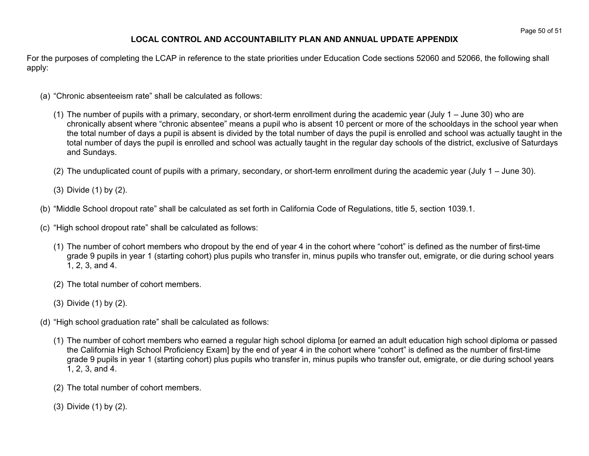## **LOCAL CONTROL AND ACCOUNTABILITY PLAN AND ANNUAL UPDATE APPENDIX**

For the purposes of completing the LCAP in reference to the state priorities under Education Code sections 52060 and 52066, the following shall apply:

- (a) "Chronic absenteeism rate" shall be calculated as follows:
	- (1) The number of pupils with a primary, secondary, or short-term enrollment during the academic year (July 1 June 30) who are chronically absent where "chronic absentee" means a pupil who is absent 10 percent or more of the schooldays in the school year when the total number of days a pupil is absent is divided by the total number of days the pupil is enrolled and school was actually taught in the total number of days the pupil is enrolled and school was actually taught in the regular day schools of the district, exclusive of Saturdays and Sundays.
	- (2) The unduplicated count of pupils with a primary, secondary, or short-term enrollment during the academic year (July 1 June 30).
	- (3) Divide (1) by (2).
- (b) "Middle School dropout rate" shall be calculated as set forth in California Code of Regulations, title 5, section 1039.1.
- (c) "High school dropout rate" shall be calculated as follows:
	- (1) The number of cohort members who dropout by the end of year 4 in the cohort where "cohort" is defined as the number of first-time grade 9 pupils in year 1 (starting cohort) plus pupils who transfer in, minus pupils who transfer out, emigrate, or die during school years 1, 2, 3, and 4.
	- (2) The total number of cohort members.
	- (3) Divide (1) by (2).
- (d) "High school graduation rate" shall be calculated as follows:
	- (1) The number of cohort members who earned a regular high school diploma [or earned an adult education high school diploma or passed the California High School Proficiency Exam] by the end of year 4 in the cohort where "cohort" is defined as the number of first-time grade 9 pupils in year 1 (starting cohort) plus pupils who transfer in, minus pupils who transfer out, emigrate, or die during school years 1, 2, 3, and 4.
	- (2) The total number of cohort members.
	- (3) Divide (1) by (2).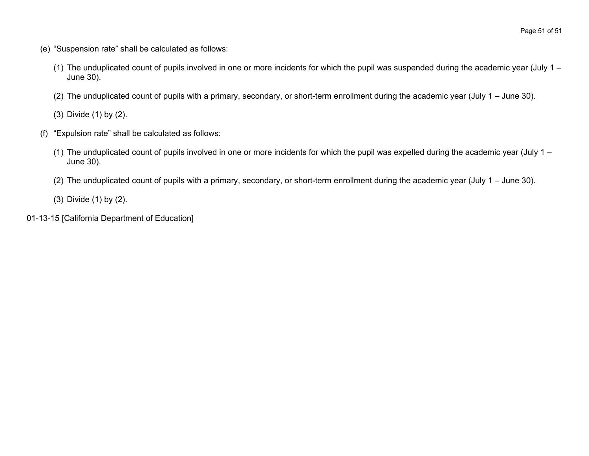- (e) "Suspension rate" shall be calculated as follows:
	- (1) The unduplicated count of pupils involved in one or more incidents for which the pupil was suspended during the academic year (July 1 June 30).
	- (2) The unduplicated count of pupils with a primary, secondary, or short-term enrollment during the academic year (July 1 June 30).

(3) Divide (1) by (2).

- (f) "Expulsion rate" shall be calculated as follows:
	- (1) The unduplicated count of pupils involved in one or more incidents for which the pupil was expelled during the academic year (July 1 June 30).
	- (2) The unduplicated count of pupils with a primary, secondary, or short-term enrollment during the academic year (July 1 June 30).
	- (3) Divide (1) by (2).
- 01-13-15 [California Department of Education]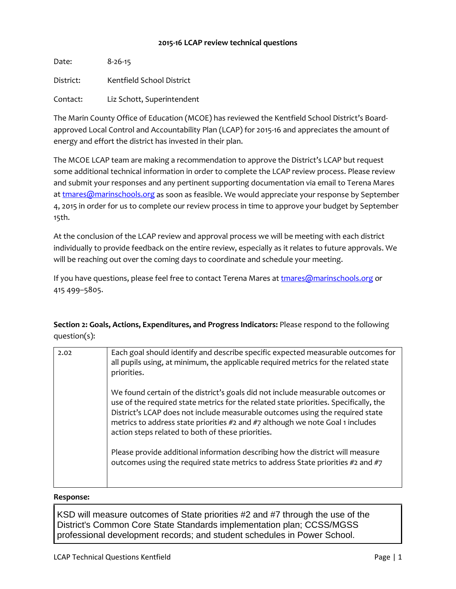## **2015-16 LCAP review technical questions**

Date: 8-26-15 District: Kentfield School District Contact: Liz Schott, Superintendent

The Marin County Office of Education (MCOE) has reviewed the Kentfield School District's Boardapproved Local Control and Accountability Plan (LCAP) for 2015-16 and appreciates the amount of energy and effort the district has invested in their plan.

The MCOE LCAP team are making a recommendation to approve the District's LCAP but request some additional technical information in order to complete the LCAP review process. Please review and submit your responses and any pertinent supporting documentation via email to Terena Mares a[t tmares@marinschools.org](mailto:tmares@marinschools.org) as soon as feasible. We would appreciate your response by September 4, 2015 in order for us to complete our review process in time to approve your budget by September 15th.

At the conclusion of the LCAP review and approval process we will be meeting with each district individually to provide feedback on the entire review, especially as it relates to future approvals. We will be reaching out over the coming days to coordinate and schedule your meeting.

If you have questions, please feel free to contact Terena Mares at [tmares@marinschools.org](mailto:tmares@marinschools.org) or 415 499–5805.

**Section 2: Goals, Actions, Expenditures, and Progress Indicators:** Please respond to the following question(s):

| 2.02 | Each goal should identify and describe specific expected measurable outcomes for<br>all pupils using, at minimum, the applicable required metrics for the related state<br>priorities.                                                                                                                                                                                                           |
|------|--------------------------------------------------------------------------------------------------------------------------------------------------------------------------------------------------------------------------------------------------------------------------------------------------------------------------------------------------------------------------------------------------|
|      | We found certain of the district's goals did not include measurable outcomes or<br>use of the required state metrics for the related state priorities. Specifically, the<br>District's LCAP does not include measurable outcomes using the required state<br>metrics to address state priorities #2 and #7 although we note Goal 1 includes<br>action steps related to both of these priorities. |
|      | Please provide additional information describing how the district will measure<br>outcomes using the required state metrics to address State priorities #2 and #7                                                                                                                                                                                                                                |

## **Response:**

KSD will measure outcomes of State priorities #2 and #7 through the use of the District's Common Core State Standards implementation plan; CCSS/MGSS professional development records; and student schedules in Power School.